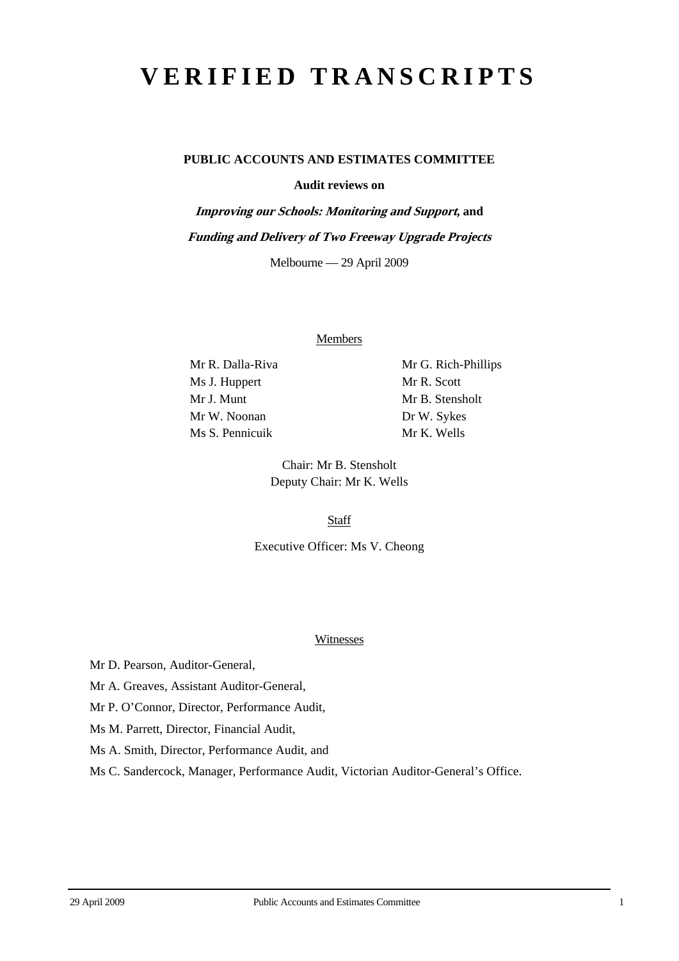# **VERIFIED TRANSCRIPTS**

# **PUBLIC ACCOUNTS AND ESTIMATES COMMITTEE**

**Audit reviews on** 

**Improving our Schools: Monitoring and Support, and Funding and Delivery of Two Freeway Upgrade Projects**  Melbourne — 29 April 2009

#### **Members**

Mr R. Dalla-Riva Mr G. Rich-Phillips Ms J. Huppert Mr R. Scott Mr J. Munt Mr B. Stensholt Mr W. Noonan Dr W. Sykes Ms S. Pennicuik Mr K. Wells

Chair: Mr B. Stensholt Deputy Chair: Mr K. Wells

**Staff** 

Executive Officer: Ms V. Cheong

#### **Witnesses**

Mr D. Pearson, Auditor-General,

Mr A. Greaves, Assistant Auditor-General,

Mr P. O'Connor, Director, Performance Audit,

Ms M. Parrett, Director, Financial Audit,

Ms A. Smith, Director, Performance Audit, and

Ms C. Sandercock, Manager, Performance Audit, Victorian Auditor-General's Office.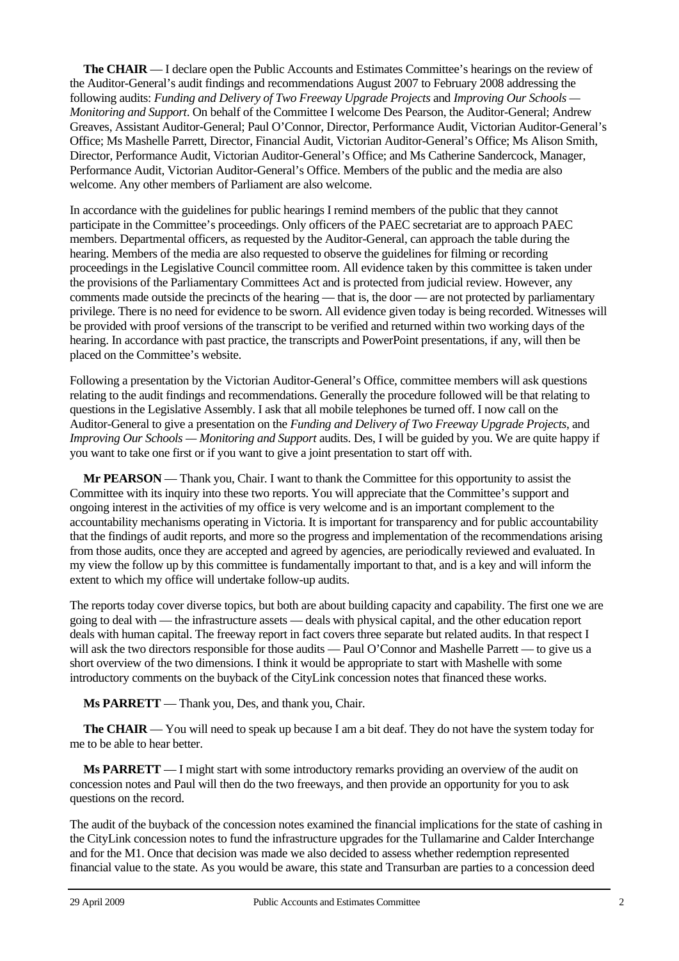**The CHAIR** — I declare open the Public Accounts and Estimates Committee's hearings on the review of the Auditor-General's audit findings and recommendations August 2007 to February 2008 addressing the following audits: *Funding and Delivery of Two Freeway Upgrade Projects* and *Improving Our Schools — Monitoring and Support*. On behalf of the Committee I welcome Des Pearson, the Auditor-General; Andrew Greaves, Assistant Auditor-General; Paul O'Connor, Director, Performance Audit, Victorian Auditor-General's Office; Ms Mashelle Parrett, Director, Financial Audit, Victorian Auditor-General's Office; Ms Alison Smith, Director, Performance Audit, Victorian Auditor-General's Office; and Ms Catherine Sandercock, Manager, Performance Audit, Victorian Auditor-General's Office. Members of the public and the media are also welcome. Any other members of Parliament are also welcome.

In accordance with the guidelines for public hearings I remind members of the public that they cannot participate in the Committee's proceedings. Only officers of the PAEC secretariat are to approach PAEC members. Departmental officers, as requested by the Auditor-General, can approach the table during the hearing. Members of the media are also requested to observe the guidelines for filming or recording proceedings in the Legislative Council committee room. All evidence taken by this committee is taken under the provisions of the Parliamentary Committees Act and is protected from judicial review. However, any comments made outside the precincts of the hearing — that is, the door — are not protected by parliamentary privilege. There is no need for evidence to be sworn. All evidence given today is being recorded. Witnesses will be provided with proof versions of the transcript to be verified and returned within two working days of the hearing. In accordance with past practice, the transcripts and PowerPoint presentations, if any, will then be placed on the Committee's website.

Following a presentation by the Victorian Auditor-General's Office, committee members will ask questions relating to the audit findings and recommendations. Generally the procedure followed will be that relating to questions in the Legislative Assembly. I ask that all mobile telephones be turned off. I now call on the Auditor-General to give a presentation on the *Funding and Delivery of Two Freeway Upgrade Projects*, and *Improving Our Schools — Monitoring and Support* audits. Des, I will be guided by you. We are quite happy if you want to take one first or if you want to give a joint presentation to start off with.

**Mr PEARSON** — Thank you, Chair. I want to thank the Committee for this opportunity to assist the Committee with its inquiry into these two reports. You will appreciate that the Committee's support and ongoing interest in the activities of my office is very welcome and is an important complement to the accountability mechanisms operating in Victoria. It is important for transparency and for public accountability that the findings of audit reports, and more so the progress and implementation of the recommendations arising from those audits, once they are accepted and agreed by agencies, are periodically reviewed and evaluated. In my view the follow up by this committee is fundamentally important to that, and is a key and will inform the extent to which my office will undertake follow-up audits.

The reports today cover diverse topics, but both are about building capacity and capability. The first one we are going to deal with — the infrastructure assets — deals with physical capital, and the other education report deals with human capital. The freeway report in fact covers three separate but related audits. In that respect I will ask the two directors responsible for those audits — Paul O'Connor and Mashelle Parrett — to give us a short overview of the two dimensions. I think it would be appropriate to start with Mashelle with some introductory comments on the buyback of the CityLink concession notes that financed these works.

**Ms PARRETT** — Thank you, Des, and thank you, Chair.

**The CHAIR** — You will need to speak up because I am a bit deaf. They do not have the system today for me to be able to hear better.

**Ms PARRETT** — I might start with some introductory remarks providing an overview of the audit on concession notes and Paul will then do the two freeways, and then provide an opportunity for you to ask questions on the record.

The audit of the buyback of the concession notes examined the financial implications for the state of cashing in the CityLink concession notes to fund the infrastructure upgrades for the Tullamarine and Calder Interchange and for the M1. Once that decision was made we also decided to assess whether redemption represented financial value to the state. As you would be aware, this state and Transurban are parties to a concession deed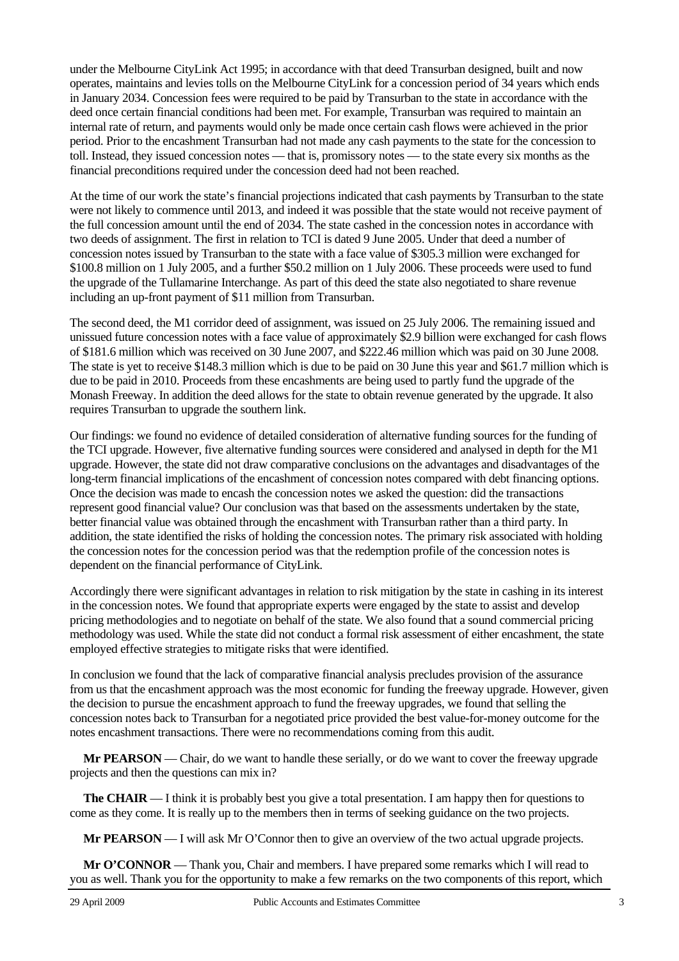under the Melbourne CityLink Act 1995; in accordance with that deed Transurban designed, built and now operates, maintains and levies tolls on the Melbourne CityLink for a concession period of 34 years which ends in January 2034. Concession fees were required to be paid by Transurban to the state in accordance with the deed once certain financial conditions had been met. For example, Transurban was required to maintain an internal rate of return, and payments would only be made once certain cash flows were achieved in the prior period. Prior to the encashment Transurban had not made any cash payments to the state for the concession to toll. Instead, they issued concession notes — that is, promissory notes — to the state every six months as the financial preconditions required under the concession deed had not been reached.

At the time of our work the state's financial projections indicated that cash payments by Transurban to the state were not likely to commence until 2013, and indeed it was possible that the state would not receive payment of the full concession amount until the end of 2034. The state cashed in the concession notes in accordance with two deeds of assignment. The first in relation to TCI is dated 9 June 2005. Under that deed a number of concession notes issued by Transurban to the state with a face value of \$305.3 million were exchanged for \$100.8 million on 1 July 2005, and a further \$50.2 million on 1 July 2006. These proceeds were used to fund the upgrade of the Tullamarine Interchange. As part of this deed the state also negotiated to share revenue including an up-front payment of \$11 million from Transurban.

The second deed, the M1 corridor deed of assignment, was issued on 25 July 2006. The remaining issued and unissued future concession notes with a face value of approximately \$2.9 billion were exchanged for cash flows of \$181.6 million which was received on 30 June 2007, and \$222.46 million which was paid on 30 June 2008. The state is yet to receive \$148.3 million which is due to be paid on 30 June this year and \$61.7 million which is due to be paid in 2010. Proceeds from these encashments are being used to partly fund the upgrade of the Monash Freeway. In addition the deed allows for the state to obtain revenue generated by the upgrade. It also requires Transurban to upgrade the southern link.

Our findings: we found no evidence of detailed consideration of alternative funding sources for the funding of the TCI upgrade. However, five alternative funding sources were considered and analysed in depth for the M1 upgrade. However, the state did not draw comparative conclusions on the advantages and disadvantages of the long-term financial implications of the encashment of concession notes compared with debt financing options. Once the decision was made to encash the concession notes we asked the question: did the transactions represent good financial value? Our conclusion was that based on the assessments undertaken by the state, better financial value was obtained through the encashment with Transurban rather than a third party. In addition, the state identified the risks of holding the concession notes. The primary risk associated with holding the concession notes for the concession period was that the redemption profile of the concession notes is dependent on the financial performance of CityLink.

Accordingly there were significant advantages in relation to risk mitigation by the state in cashing in its interest in the concession notes. We found that appropriate experts were engaged by the state to assist and develop pricing methodologies and to negotiate on behalf of the state. We also found that a sound commercial pricing methodology was used. While the state did not conduct a formal risk assessment of either encashment, the state employed effective strategies to mitigate risks that were identified.

In conclusion we found that the lack of comparative financial analysis precludes provision of the assurance from us that the encashment approach was the most economic for funding the freeway upgrade. However, given the decision to pursue the encashment approach to fund the freeway upgrades, we found that selling the concession notes back to Transurban for a negotiated price provided the best value-for-money outcome for the notes encashment transactions. There were no recommendations coming from this audit.

**Mr PEARSON** — Chair, do we want to handle these serially, or do we want to cover the freeway upgrade projects and then the questions can mix in?

**The CHAIR** — I think it is probably best you give a total presentation. I am happy then for questions to come as they come. It is really up to the members then in terms of seeking guidance on the two projects.

**Mr PEARSON** — I will ask Mr O'Connor then to give an overview of the two actual upgrade projects.

**Mr O'CONNOR** — Thank you, Chair and members. I have prepared some remarks which I will read to you as well. Thank you for the opportunity to make a few remarks on the two components of this report, which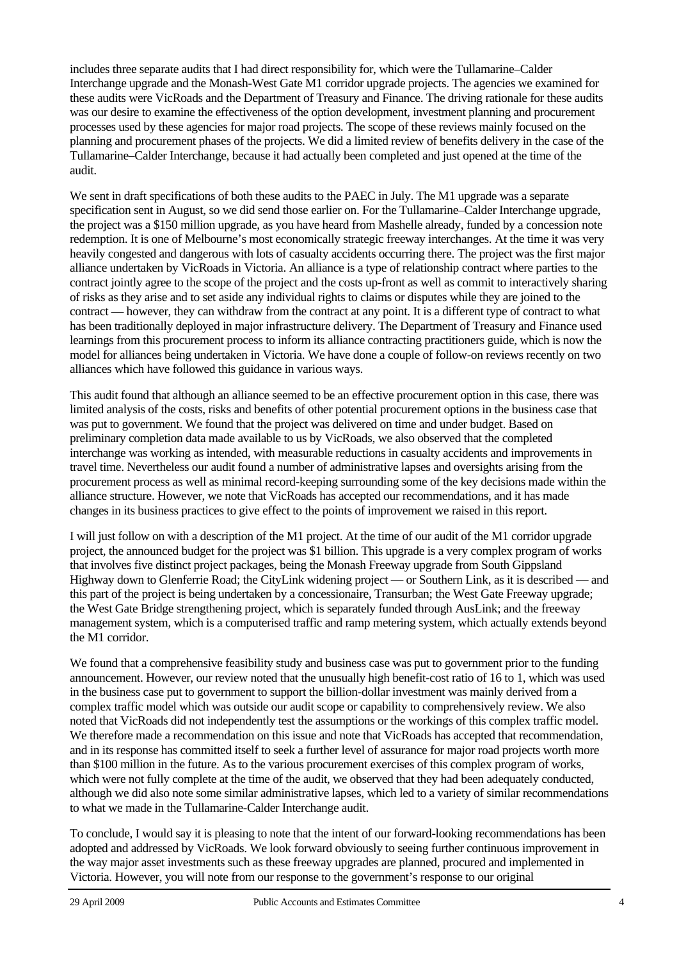includes three separate audits that I had direct responsibility for, which were the Tullamarine–Calder Interchange upgrade and the Monash-West Gate M1 corridor upgrade projects. The agencies we examined for these audits were VicRoads and the Department of Treasury and Finance. The driving rationale for these audits was our desire to examine the effectiveness of the option development, investment planning and procurement processes used by these agencies for major road projects. The scope of these reviews mainly focused on the planning and procurement phases of the projects. We did a limited review of benefits delivery in the case of the Tullamarine–Calder Interchange, because it had actually been completed and just opened at the time of the audit.

We sent in draft specifications of both these audits to the PAEC in July. The M1 upgrade was a separate specification sent in August, so we did send those earlier on. For the Tullamarine–Calder Interchange upgrade, the project was a \$150 million upgrade, as you have heard from Mashelle already, funded by a concession note redemption. It is one of Melbourne's most economically strategic freeway interchanges. At the time it was very heavily congested and dangerous with lots of casualty accidents occurring there. The project was the first major alliance undertaken by VicRoads in Victoria. An alliance is a type of relationship contract where parties to the contract jointly agree to the scope of the project and the costs up-front as well as commit to interactively sharing of risks as they arise and to set aside any individual rights to claims or disputes while they are joined to the contract — however, they can withdraw from the contract at any point. It is a different type of contract to what has been traditionally deployed in major infrastructure delivery. The Department of Treasury and Finance used learnings from this procurement process to inform its alliance contracting practitioners guide, which is now the model for alliances being undertaken in Victoria. We have done a couple of follow-on reviews recently on two alliances which have followed this guidance in various ways.

This audit found that although an alliance seemed to be an effective procurement option in this case, there was limited analysis of the costs, risks and benefits of other potential procurement options in the business case that was put to government. We found that the project was delivered on time and under budget. Based on preliminary completion data made available to us by VicRoads, we also observed that the completed interchange was working as intended, with measurable reductions in casualty accidents and improvements in travel time. Nevertheless our audit found a number of administrative lapses and oversights arising from the procurement process as well as minimal record-keeping surrounding some of the key decisions made within the alliance structure. However, we note that VicRoads has accepted our recommendations, and it has made changes in its business practices to give effect to the points of improvement we raised in this report.

I will just follow on with a description of the M1 project. At the time of our audit of the M1 corridor upgrade project, the announced budget for the project was \$1 billion. This upgrade is a very complex program of works that involves five distinct project packages, being the Monash Freeway upgrade from South Gippsland Highway down to Glenferrie Road; the CityLink widening project — or Southern Link, as it is described — and this part of the project is being undertaken by a concessionaire, Transurban; the West Gate Freeway upgrade; the West Gate Bridge strengthening project, which is separately funded through AusLink; and the freeway management system, which is a computerised traffic and ramp metering system, which actually extends beyond the M1 corridor.

We found that a comprehensive feasibility study and business case was put to government prior to the funding announcement. However, our review noted that the unusually high benefit-cost ratio of 16 to 1, which was used in the business case put to government to support the billion-dollar investment was mainly derived from a complex traffic model which was outside our audit scope or capability to comprehensively review. We also noted that VicRoads did not independently test the assumptions or the workings of this complex traffic model. We therefore made a recommendation on this issue and note that VicRoads has accepted that recommendation, and in its response has committed itself to seek a further level of assurance for major road projects worth more than \$100 million in the future. As to the various procurement exercises of this complex program of works, which were not fully complete at the time of the audit, we observed that they had been adequately conducted, although we did also note some similar administrative lapses, which led to a variety of similar recommendations to what we made in the Tullamarine-Calder Interchange audit.

To conclude, I would say it is pleasing to note that the intent of our forward-looking recommendations has been adopted and addressed by VicRoads. We look forward obviously to seeing further continuous improvement in the way major asset investments such as these freeway upgrades are planned, procured and implemented in Victoria. However, you will note from our response to the government's response to our original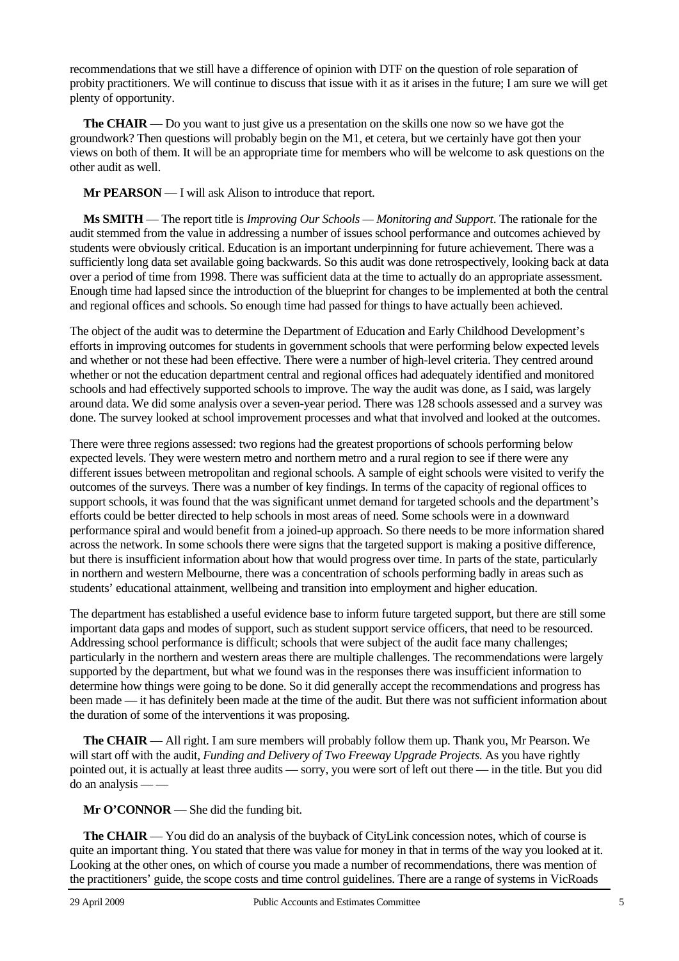recommendations that we still have a difference of opinion with DTF on the question of role separation of probity practitioners. We will continue to discuss that issue with it as it arises in the future; I am sure we will get plenty of opportunity.

**The CHAIR** — Do you want to just give us a presentation on the skills one now so we have got the groundwork? Then questions will probably begin on the M1, et cetera, but we certainly have got then your views on both of them. It will be an appropriate time for members who will be welcome to ask questions on the other audit as well.

**Mr PEARSON** — I will ask Alison to introduce that report.

**Ms SMITH** — The report title is *Improving Our Schools — Monitoring and Support*. The rationale for the audit stemmed from the value in addressing a number of issues school performance and outcomes achieved by students were obviously critical. Education is an important underpinning for future achievement. There was a sufficiently long data set available going backwards. So this audit was done retrospectively, looking back at data over a period of time from 1998. There was sufficient data at the time to actually do an appropriate assessment. Enough time had lapsed since the introduction of the blueprint for changes to be implemented at both the central and regional offices and schools. So enough time had passed for things to have actually been achieved.

The object of the audit was to determine the Department of Education and Early Childhood Development's efforts in improving outcomes for students in government schools that were performing below expected levels and whether or not these had been effective. There were a number of high-level criteria. They centred around whether or not the education department central and regional offices had adequately identified and monitored schools and had effectively supported schools to improve. The way the audit was done, as I said, was largely around data. We did some analysis over a seven-year period. There was 128 schools assessed and a survey was done. The survey looked at school improvement processes and what that involved and looked at the outcomes.

There were three regions assessed: two regions had the greatest proportions of schools performing below expected levels. They were western metro and northern metro and a rural region to see if there were any different issues between metropolitan and regional schools. A sample of eight schools were visited to verify the outcomes of the surveys. There was a number of key findings. In terms of the capacity of regional offices to support schools, it was found that the was significant unmet demand for targeted schools and the department's efforts could be better directed to help schools in most areas of need. Some schools were in a downward performance spiral and would benefit from a joined-up approach. So there needs to be more information shared across the network. In some schools there were signs that the targeted support is making a positive difference, but there is insufficient information about how that would progress over time. In parts of the state, particularly in northern and western Melbourne, there was a concentration of schools performing badly in areas such as students' educational attainment, wellbeing and transition into employment and higher education.

The department has established a useful evidence base to inform future targeted support, but there are still some important data gaps and modes of support, such as student support service officers, that need to be resourced. Addressing school performance is difficult; schools that were subject of the audit face many challenges; particularly in the northern and western areas there are multiple challenges. The recommendations were largely supported by the department, but what we found was in the responses there was insufficient information to determine how things were going to be done. So it did generally accept the recommendations and progress has been made — it has definitely been made at the time of the audit. But there was not sufficient information about the duration of some of the interventions it was proposing.

**The CHAIR** — All right. I am sure members will probably follow them up. Thank you, Mr Pearson. We will start off with the audit, *Funding and Delivery of Two Freeway Upgrade Projects*. As you have rightly pointed out, it is actually at least three audits — sorry, you were sort of left out there — in the title. But you did do an analysis — —

**Mr O'CONNOR** — She did the funding bit.

**The CHAIR** — You did do an analysis of the buyback of CityLink concession notes, which of course is quite an important thing. You stated that there was value for money in that in terms of the way you looked at it. Looking at the other ones, on which of course you made a number of recommendations, there was mention of the practitioners' guide, the scope costs and time control guidelines. There are a range of systems in VicRoads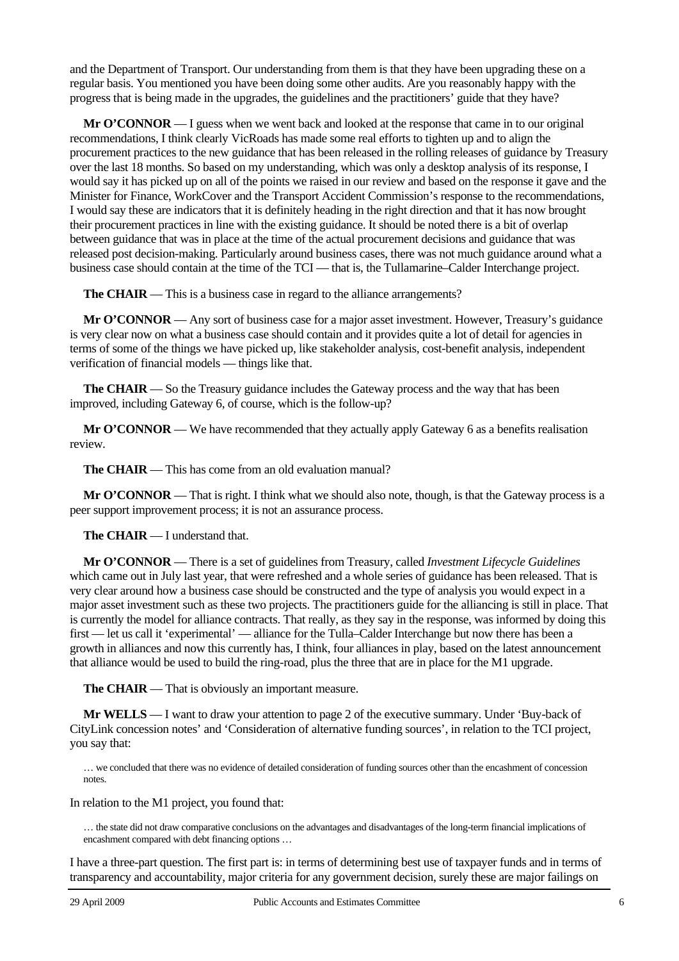and the Department of Transport. Our understanding from them is that they have been upgrading these on a regular basis. You mentioned you have been doing some other audits. Are you reasonably happy with the progress that is being made in the upgrades, the guidelines and the practitioners' guide that they have?

**Mr O'CONNOR** — I guess when we went back and looked at the response that came in to our original recommendations, I think clearly VicRoads has made some real efforts to tighten up and to align the procurement practices to the new guidance that has been released in the rolling releases of guidance by Treasury over the last 18 months. So based on my understanding, which was only a desktop analysis of its response, I would say it has picked up on all of the points we raised in our review and based on the response it gave and the Minister for Finance, WorkCover and the Transport Accident Commission's response to the recommendations, I would say these are indicators that it is definitely heading in the right direction and that it has now brought their procurement practices in line with the existing guidance. It should be noted there is a bit of overlap between guidance that was in place at the time of the actual procurement decisions and guidance that was released post decision-making. Particularly around business cases, there was not much guidance around what a business case should contain at the time of the TCI — that is, the Tullamarine–Calder Interchange project.

**The CHAIR** — This is a business case in regard to the alliance arrangements?

**Mr O'CONNOR** — Any sort of business case for a major asset investment. However, Treasury's guidance is very clear now on what a business case should contain and it provides quite a lot of detail for agencies in terms of some of the things we have picked up, like stakeholder analysis, cost-benefit analysis, independent verification of financial models — things like that.

**The CHAIR** — So the Treasury guidance includes the Gateway process and the way that has been improved, including Gateway 6, of course, which is the follow-up?

**Mr O'CONNOR** — We have recommended that they actually apply Gateway 6 as a benefits realisation review.

**The CHAIR** — This has come from an old evaluation manual?

**Mr O'CONNOR** — That is right. I think what we should also note, though, is that the Gateway process is a peer support improvement process; it is not an assurance process.

**The CHAIR** — I understand that.

**Mr O'CONNOR** — There is a set of guidelines from Treasury, called *Investment Lifecycle Guidelines* which came out in July last year, that were refreshed and a whole series of guidance has been released. That is very clear around how a business case should be constructed and the type of analysis you would expect in a major asset investment such as these two projects. The practitioners guide for the alliancing is still in place. That is currently the model for alliance contracts. That really, as they say in the response, was informed by doing this first — let us call it 'experimental' — alliance for the Tulla–Calder Interchange but now there has been a growth in alliances and now this currently has, I think, four alliances in play, based on the latest announcement that alliance would be used to build the ring-road, plus the three that are in place for the M1 upgrade.

**The CHAIR** — That is obviously an important measure.

**Mr WELLS** — I want to draw your attention to page 2 of the executive summary. Under 'Buy-back of CityLink concession notes' and 'Consideration of alternative funding sources', in relation to the TCI project, you say that:

… we concluded that there was no evidence of detailed consideration of funding sources other than the encashment of concession notes.

In relation to the M1 project, you found that:

… the state did not draw comparative conclusions on the advantages and disadvantages of the long-term financial implications of encashment compared with debt financing options …

I have a three-part question. The first part is: in terms of determining best use of taxpayer funds and in terms of transparency and accountability, major criteria for any government decision, surely these are major failings on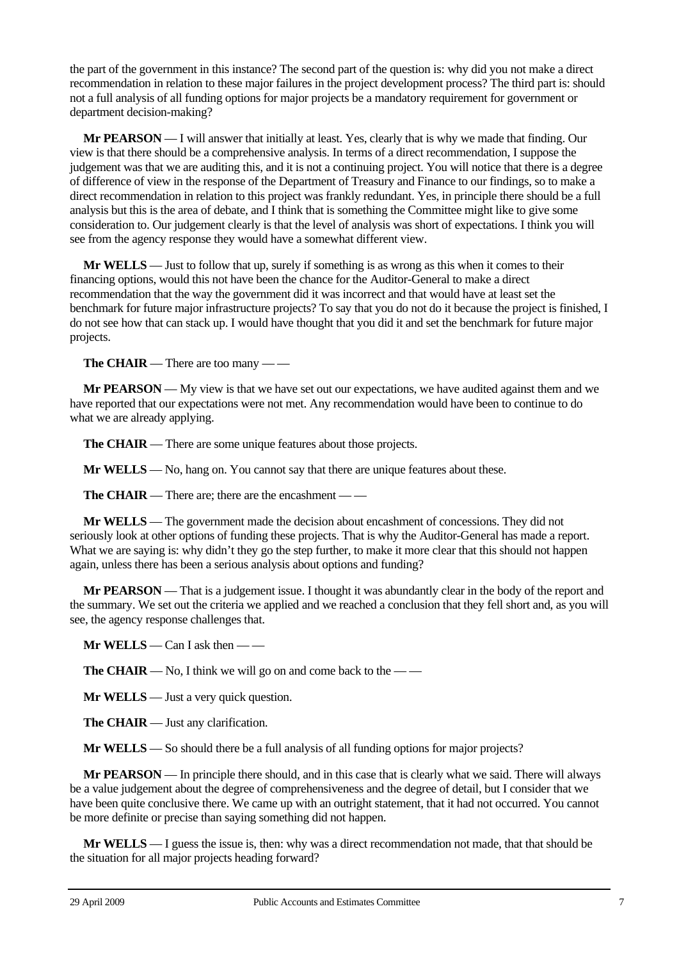the part of the government in this instance? The second part of the question is: why did you not make a direct recommendation in relation to these major failures in the project development process? The third part is: should not a full analysis of all funding options for major projects be a mandatory requirement for government or department decision-making?

**Mr PEARSON** — I will answer that initially at least. Yes, clearly that is why we made that finding. Our view is that there should be a comprehensive analysis. In terms of a direct recommendation, I suppose the judgement was that we are auditing this, and it is not a continuing project. You will notice that there is a degree of difference of view in the response of the Department of Treasury and Finance to our findings, so to make a direct recommendation in relation to this project was frankly redundant. Yes, in principle there should be a full analysis but this is the area of debate, and I think that is something the Committee might like to give some consideration to. Our judgement clearly is that the level of analysis was short of expectations. I think you will see from the agency response they would have a somewhat different view.

**Mr WELLS** — Just to follow that up, surely if something is as wrong as this when it comes to their financing options, would this not have been the chance for the Auditor-General to make a direct recommendation that the way the government did it was incorrect and that would have at least set the benchmark for future major infrastructure projects? To say that you do not do it because the project is finished, I do not see how that can stack up. I would have thought that you did it and set the benchmark for future major projects.

**The CHAIR** — There are too many — —

**Mr PEARSON** — My view is that we have set out our expectations, we have audited against them and we have reported that our expectations were not met. Any recommendation would have been to continue to do what we are already applying.

**The CHAIR** — There are some unique features about those projects.

**Mr WELLS** — No, hang on. You cannot say that there are unique features about these.

**The CHAIR** — There are; there are the encashment — —

**Mr WELLS** — The government made the decision about encashment of concessions. They did not seriously look at other options of funding these projects. That is why the Auditor-General has made a report. What we are saying is: why didn't they go the step further, to make it more clear that this should not happen again, unless there has been a serious analysis about options and funding?

**Mr PEARSON** — That is a judgement issue. I thought it was abundantly clear in the body of the report and the summary. We set out the criteria we applied and we reached a conclusion that they fell short and, as you will see, the agency response challenges that.

**Mr WELLS** — Can I ask then — —

**The CHAIR** — No, I think we will go on and come back to the —

**Mr WELLS** — Just a very quick question.

**The CHAIR** — Just any clarification.

**Mr WELLS** — So should there be a full analysis of all funding options for major projects?

**Mr PEARSON** — In principle there should, and in this case that is clearly what we said. There will always be a value judgement about the degree of comprehensiveness and the degree of detail, but I consider that we have been quite conclusive there. We came up with an outright statement, that it had not occurred. You cannot be more definite or precise than saying something did not happen.

**Mr WELLS** — I guess the issue is, then: why was a direct recommendation not made, that that should be the situation for all major projects heading forward?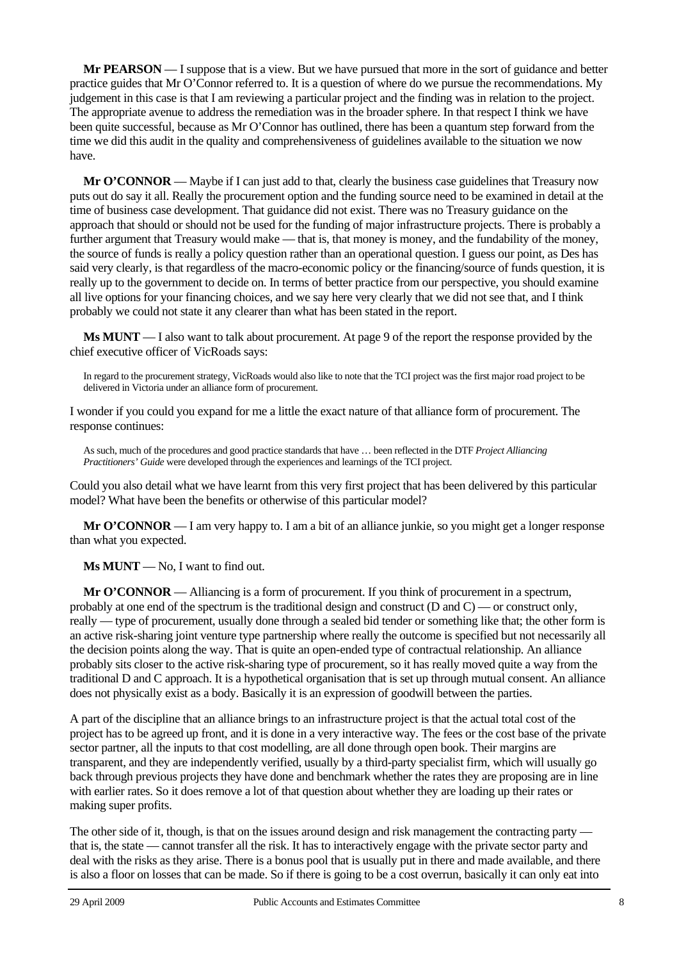**Mr PEARSON** — I suppose that is a view. But we have pursued that more in the sort of guidance and better practice guides that Mr O'Connor referred to. It is a question of where do we pursue the recommendations. My judgement in this case is that I am reviewing a particular project and the finding was in relation to the project. The appropriate avenue to address the remediation was in the broader sphere. In that respect I think we have been quite successful, because as Mr O'Connor has outlined, there has been a quantum step forward from the time we did this audit in the quality and comprehensiveness of guidelines available to the situation we now have.

**Mr O'CONNOR** — Maybe if I can just add to that, clearly the business case guidelines that Treasury now puts out do say it all. Really the procurement option and the funding source need to be examined in detail at the time of business case development. That guidance did not exist. There was no Treasury guidance on the approach that should or should not be used for the funding of major infrastructure projects. There is probably a further argument that Treasury would make — that is, that money is money, and the fundability of the money, the source of funds is really a policy question rather than an operational question. I guess our point, as Des has said very clearly, is that regardless of the macro-economic policy or the financing/source of funds question, it is really up to the government to decide on. In terms of better practice from our perspective, you should examine all live options for your financing choices, and we say here very clearly that we did not see that, and I think probably we could not state it any clearer than what has been stated in the report.

**Ms MUNT** — I also want to talk about procurement. At page 9 of the report the response provided by the chief executive officer of VicRoads says:

In regard to the procurement strategy, VicRoads would also like to note that the TCI project was the first major road project to be delivered in Victoria under an alliance form of procurement.

I wonder if you could you expand for me a little the exact nature of that alliance form of procurement. The response continues:

As such, much of the procedures and good practice standards that have … been reflected in the DTF *Project Alliancing Practitioners' Guide* were developed through the experiences and learnings of the TCI project.

Could you also detail what we have learnt from this very first project that has been delivered by this particular model? What have been the benefits or otherwise of this particular model?

**Mr O'CONNOR** — I am very happy to. I am a bit of an alliance junkie, so you might get a longer response than what you expected.

**Ms MUNT** — No, I want to find out.

**Mr O'CONNOR** — Alliancing is a form of procurement. If you think of procurement in a spectrum, probably at one end of the spectrum is the traditional design and construct (D and C) — or construct only, really — type of procurement, usually done through a sealed bid tender or something like that; the other form is an active risk-sharing joint venture type partnership where really the outcome is specified but not necessarily all the decision points along the way. That is quite an open-ended type of contractual relationship. An alliance probably sits closer to the active risk-sharing type of procurement, so it has really moved quite a way from the traditional D and C approach. It is a hypothetical organisation that is set up through mutual consent. An alliance does not physically exist as a body. Basically it is an expression of goodwill between the parties.

A part of the discipline that an alliance brings to an infrastructure project is that the actual total cost of the project has to be agreed up front, and it is done in a very interactive way. The fees or the cost base of the private sector partner, all the inputs to that cost modelling, are all done through open book. Their margins are transparent, and they are independently verified, usually by a third-party specialist firm, which will usually go back through previous projects they have done and benchmark whether the rates they are proposing are in line with earlier rates. So it does remove a lot of that question about whether they are loading up their rates or making super profits.

The other side of it, though, is that on the issues around design and risk management the contracting party that is, the state — cannot transfer all the risk. It has to interactively engage with the private sector party and deal with the risks as they arise. There is a bonus pool that is usually put in there and made available, and there is also a floor on losses that can be made. So if there is going to be a cost overrun, basically it can only eat into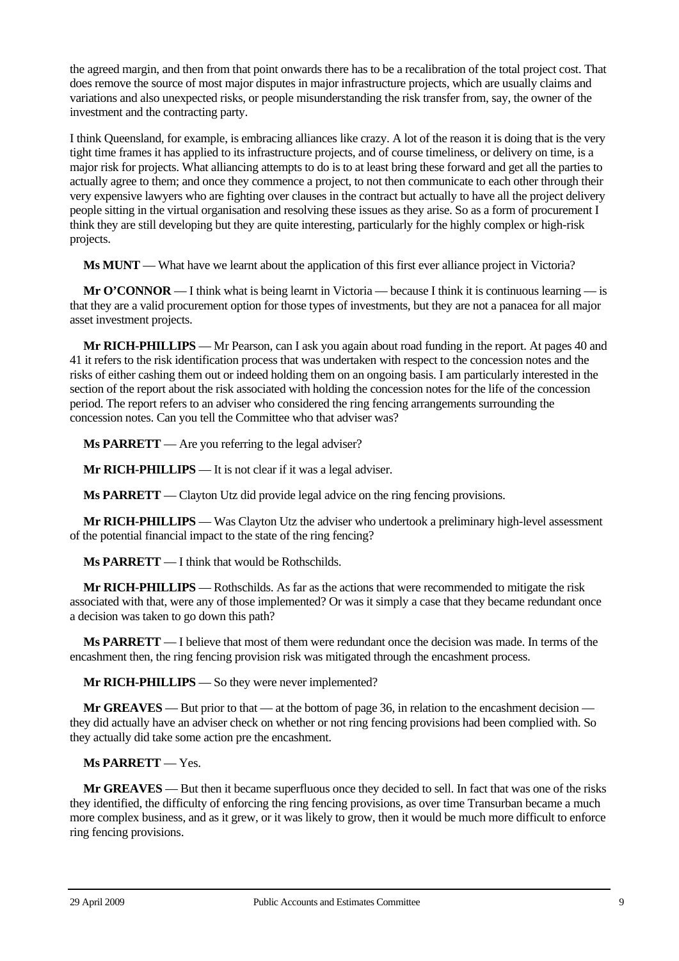the agreed margin, and then from that point onwards there has to be a recalibration of the total project cost. That does remove the source of most major disputes in major infrastructure projects, which are usually claims and variations and also unexpected risks, or people misunderstanding the risk transfer from, say, the owner of the investment and the contracting party.

I think Queensland, for example, is embracing alliances like crazy. A lot of the reason it is doing that is the very tight time frames it has applied to its infrastructure projects, and of course timeliness, or delivery on time, is a major risk for projects. What alliancing attempts to do is to at least bring these forward and get all the parties to actually agree to them; and once they commence a project, to not then communicate to each other through their very expensive lawyers who are fighting over clauses in the contract but actually to have all the project delivery people sitting in the virtual organisation and resolving these issues as they arise. So as a form of procurement I think they are still developing but they are quite interesting, particularly for the highly complex or high-risk projects.

**Ms MUNT** — What have we learnt about the application of this first ever alliance project in Victoria?

**Mr O'CONNOR** — I think what is being learnt in Victoria — because I think it is continuous learning — is that they are a valid procurement option for those types of investments, but they are not a panacea for all major asset investment projects.

**Mr RICH-PHILLIPS** — Mr Pearson, can I ask you again about road funding in the report. At pages 40 and 41 it refers to the risk identification process that was undertaken with respect to the concession notes and the risks of either cashing them out or indeed holding them on an ongoing basis. I am particularly interested in the section of the report about the risk associated with holding the concession notes for the life of the concession period. The report refers to an adviser who considered the ring fencing arrangements surrounding the concession notes. Can you tell the Committee who that adviser was?

**Ms PARRETT** — Are you referring to the legal adviser?

**Mr RICH-PHILLIPS** — It is not clear if it was a legal adviser.

**Ms PARRETT** — Clayton Utz did provide legal advice on the ring fencing provisions.

**Mr RICH-PHILLIPS** — Was Clayton Utz the adviser who undertook a preliminary high-level assessment of the potential financial impact to the state of the ring fencing?

**Ms PARRETT** — I think that would be Rothschilds.

**Mr RICH-PHILLIPS** — Rothschilds. As far as the actions that were recommended to mitigate the risk associated with that, were any of those implemented? Or was it simply a case that they became redundant once a decision was taken to go down this path?

**Ms PARRETT** — I believe that most of them were redundant once the decision was made. In terms of the encashment then, the ring fencing provision risk was mitigated through the encashment process.

**Mr RICH-PHILLIPS** — So they were never implemented?

**Mr GREAVES** — But prior to that — at the bottom of page 36, in relation to the encashment decision they did actually have an adviser check on whether or not ring fencing provisions had been complied with. So they actually did take some action pre the encashment.

**Ms PARRETT** — Yes.

**Mr GREAVES** — But then it became superfluous once they decided to sell. In fact that was one of the risks they identified, the difficulty of enforcing the ring fencing provisions, as over time Transurban became a much more complex business, and as it grew, or it was likely to grow, then it would be much more difficult to enforce ring fencing provisions.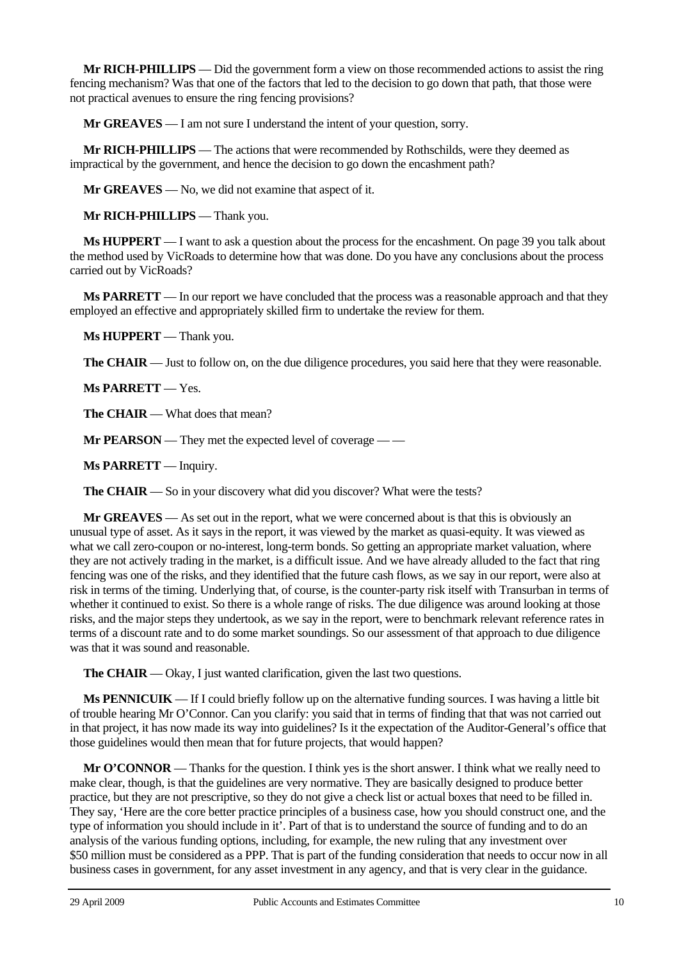**Mr RICH-PHILLIPS** — Did the government form a view on those recommended actions to assist the ring fencing mechanism? Was that one of the factors that led to the decision to go down that path, that those were not practical avenues to ensure the ring fencing provisions?

**Mr GREAVES** — I am not sure I understand the intent of your question, sorry.

**Mr RICH-PHILLIPS** — The actions that were recommended by Rothschilds, were they deemed as impractical by the government, and hence the decision to go down the encashment path?

**Mr GREAVES** — No, we did not examine that aspect of it.

**Mr RICH-PHILLIPS** — Thank you.

**Ms HUPPERT** — I want to ask a question about the process for the encashment. On page 39 you talk about the method used by VicRoads to determine how that was done. Do you have any conclusions about the process carried out by VicRoads?

**Ms PARRETT** — In our report we have concluded that the process was a reasonable approach and that they employed an effective and appropriately skilled firm to undertake the review for them.

**Ms HUPPERT** — Thank you.

**The CHAIR** — Just to follow on, on the due diligence procedures, you said here that they were reasonable.

**Ms PARRETT** — Yes.

**The CHAIR** — What does that mean?

**Mr PEARSON** — They met the expected level of coverage — —

**Ms PARRETT** — Inquiry.

**The CHAIR** — So in your discovery what did you discover? What were the tests?

**Mr GREAVES** — As set out in the report, what we were concerned about is that this is obviously an unusual type of asset. As it says in the report, it was viewed by the market as quasi-equity. It was viewed as what we call zero-coupon or no-interest, long-term bonds. So getting an appropriate market valuation, where they are not actively trading in the market, is a difficult issue. And we have already alluded to the fact that ring fencing was one of the risks, and they identified that the future cash flows, as we say in our report, were also at risk in terms of the timing. Underlying that, of course, is the counter-party risk itself with Transurban in terms of whether it continued to exist. So there is a whole range of risks. The due diligence was around looking at those risks, and the major steps they undertook, as we say in the report, were to benchmark relevant reference rates in terms of a discount rate and to do some market soundings. So our assessment of that approach to due diligence was that it was sound and reasonable.

**The CHAIR** — Okay, I just wanted clarification, given the last two questions.

**Ms PENNICUIK** — If I could briefly follow up on the alternative funding sources. I was having a little bit of trouble hearing Mr O'Connor. Can you clarify: you said that in terms of finding that that was not carried out in that project, it has now made its way into guidelines? Is it the expectation of the Auditor-General's office that those guidelines would then mean that for future projects, that would happen?

**Mr O'CONNOR** — Thanks for the question. I think yes is the short answer. I think what we really need to make clear, though, is that the guidelines are very normative. They are basically designed to produce better practice, but they are not prescriptive, so they do not give a check list or actual boxes that need to be filled in. They say, 'Here are the core better practice principles of a business case, how you should construct one, and the type of information you should include in it'. Part of that is to understand the source of funding and to do an analysis of the various funding options, including, for example, the new ruling that any investment over \$50 million must be considered as a PPP. That is part of the funding consideration that needs to occur now in all business cases in government, for any asset investment in any agency, and that is very clear in the guidance.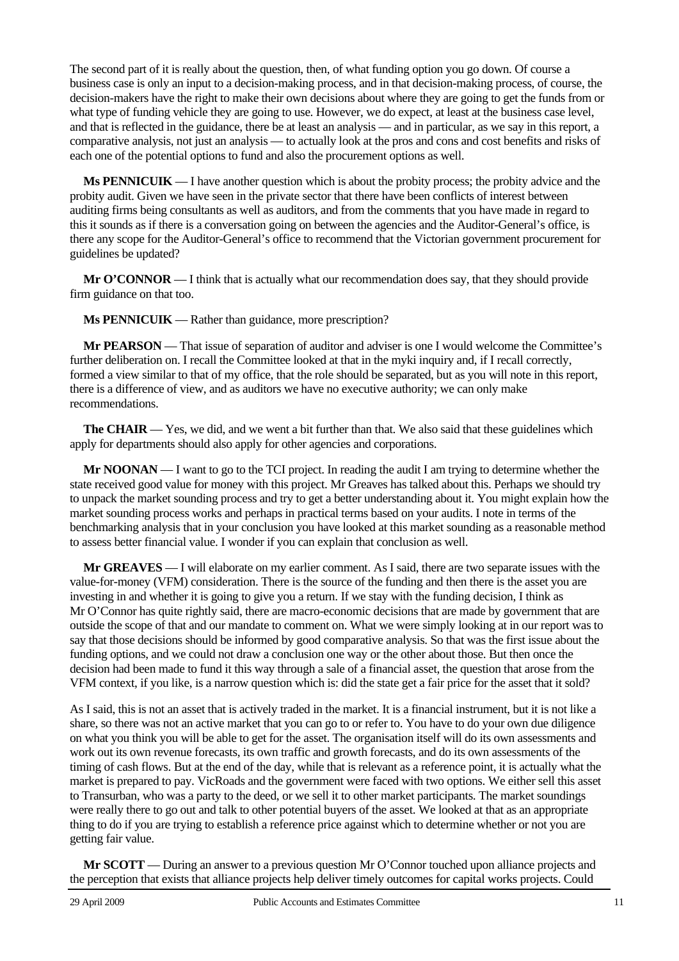The second part of it is really about the question, then, of what funding option you go down. Of course a business case is only an input to a decision-making process, and in that decision-making process, of course, the decision-makers have the right to make their own decisions about where they are going to get the funds from or what type of funding vehicle they are going to use. However, we do expect, at least at the business case level, and that is reflected in the guidance, there be at least an analysis — and in particular, as we say in this report, a comparative analysis, not just an analysis — to actually look at the pros and cons and cost benefits and risks of each one of the potential options to fund and also the procurement options as well.

**Ms PENNICUIK** — I have another question which is about the probity process; the probity advice and the probity audit. Given we have seen in the private sector that there have been conflicts of interest between auditing firms being consultants as well as auditors, and from the comments that you have made in regard to this it sounds as if there is a conversation going on between the agencies and the Auditor-General's office, is there any scope for the Auditor-General's office to recommend that the Victorian government procurement for guidelines be updated?

**Mr O'CONNOR** — I think that is actually what our recommendation does say, that they should provide firm guidance on that too.

**Ms PENNICUIK** — Rather than guidance, more prescription?

**Mr PEARSON** — That issue of separation of auditor and adviser is one I would welcome the Committee's further deliberation on. I recall the Committee looked at that in the myki inquiry and, if I recall correctly, formed a view similar to that of my office, that the role should be separated, but as you will note in this report, there is a difference of view, and as auditors we have no executive authority; we can only make recommendations.

**The CHAIR** — Yes, we did, and we went a bit further than that. We also said that these guidelines which apply for departments should also apply for other agencies and corporations.

**Mr NOONAN** — I want to go to the TCI project. In reading the audit I am trying to determine whether the state received good value for money with this project. Mr Greaves has talked about this. Perhaps we should try to unpack the market sounding process and try to get a better understanding about it. You might explain how the market sounding process works and perhaps in practical terms based on your audits. I note in terms of the benchmarking analysis that in your conclusion you have looked at this market sounding as a reasonable method to assess better financial value. I wonder if you can explain that conclusion as well.

**Mr GREAVES** — I will elaborate on my earlier comment. As I said, there are two separate issues with the value-for-money (VFM) consideration. There is the source of the funding and then there is the asset you are investing in and whether it is going to give you a return. If we stay with the funding decision, I think as Mr O'Connor has quite rightly said, there are macro-economic decisions that are made by government that are outside the scope of that and our mandate to comment on. What we were simply looking at in our report was to say that those decisions should be informed by good comparative analysis. So that was the first issue about the funding options, and we could not draw a conclusion one way or the other about those. But then once the decision had been made to fund it this way through a sale of a financial asset, the question that arose from the VFM context, if you like, is a narrow question which is: did the state get a fair price for the asset that it sold?

As I said, this is not an asset that is actively traded in the market. It is a financial instrument, but it is not like a share, so there was not an active market that you can go to or refer to. You have to do your own due diligence on what you think you will be able to get for the asset. The organisation itself will do its own assessments and work out its own revenue forecasts, its own traffic and growth forecasts, and do its own assessments of the timing of cash flows. But at the end of the day, while that is relevant as a reference point, it is actually what the market is prepared to pay. VicRoads and the government were faced with two options. We either sell this asset to Transurban, who was a party to the deed, or we sell it to other market participants. The market soundings were really there to go out and talk to other potential buyers of the asset. We looked at that as an appropriate thing to do if you are trying to establish a reference price against which to determine whether or not you are getting fair value.

**Mr SCOTT** — During an answer to a previous question Mr O'Connor touched upon alliance projects and the perception that exists that alliance projects help deliver timely outcomes for capital works projects. Could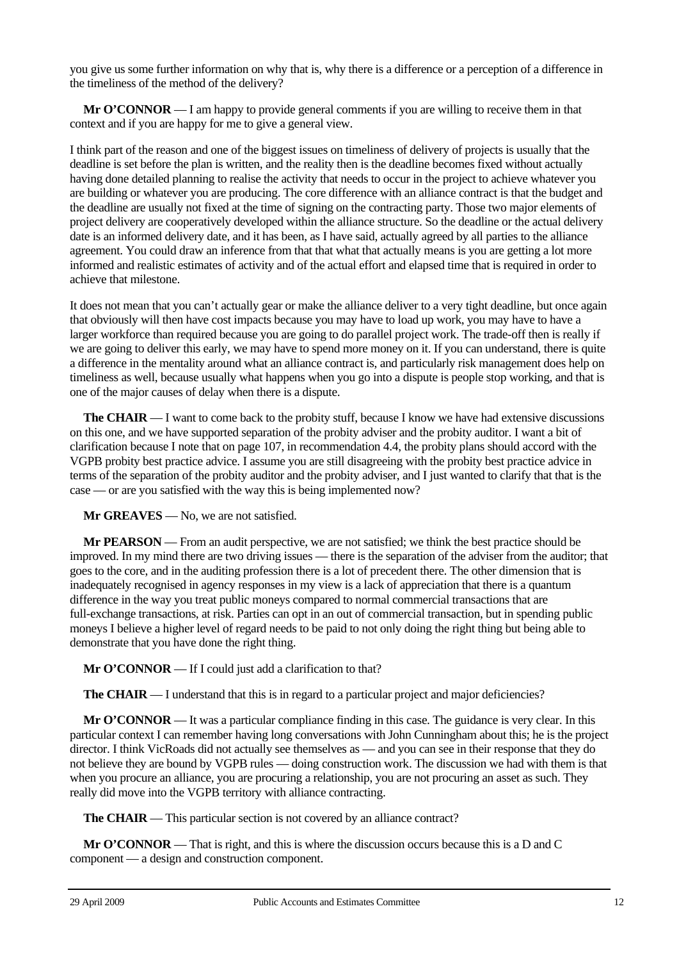you give us some further information on why that is, why there is a difference or a perception of a difference in the timeliness of the method of the delivery?

**Mr O'CONNOR** — I am happy to provide general comments if you are willing to receive them in that context and if you are happy for me to give a general view.

I think part of the reason and one of the biggest issues on timeliness of delivery of projects is usually that the deadline is set before the plan is written, and the reality then is the deadline becomes fixed without actually having done detailed planning to realise the activity that needs to occur in the project to achieve whatever you are building or whatever you are producing. The core difference with an alliance contract is that the budget and the deadline are usually not fixed at the time of signing on the contracting party. Those two major elements of project delivery are cooperatively developed within the alliance structure. So the deadline or the actual delivery date is an informed delivery date, and it has been, as I have said, actually agreed by all parties to the alliance agreement. You could draw an inference from that that what that actually means is you are getting a lot more informed and realistic estimates of activity and of the actual effort and elapsed time that is required in order to achieve that milestone.

It does not mean that you can't actually gear or make the alliance deliver to a very tight deadline, but once again that obviously will then have cost impacts because you may have to load up work, you may have to have a larger workforce than required because you are going to do parallel project work. The trade-off then is really if we are going to deliver this early, we may have to spend more money on it. If you can understand, there is quite a difference in the mentality around what an alliance contract is, and particularly risk management does help on timeliness as well, because usually what happens when you go into a dispute is people stop working, and that is one of the major causes of delay when there is a dispute.

**The CHAIR** — I want to come back to the probity stuff, because I know we have had extensive discussions on this one, and we have supported separation of the probity adviser and the probity auditor. I want a bit of clarification because I note that on page 107, in recommendation 4.4, the probity plans should accord with the VGPB probity best practice advice. I assume you are still disagreeing with the probity best practice advice in terms of the separation of the probity auditor and the probity adviser, and I just wanted to clarify that that is the case — or are you satisfied with the way this is being implemented now?

**Mr GREAVES** — No, we are not satisfied.

**Mr PEARSON** — From an audit perspective, we are not satisfied; we think the best practice should be improved. In my mind there are two driving issues — there is the separation of the adviser from the auditor; that goes to the core, and in the auditing profession there is a lot of precedent there. The other dimension that is inadequately recognised in agency responses in my view is a lack of appreciation that there is a quantum difference in the way you treat public moneys compared to normal commercial transactions that are full-exchange transactions, at risk. Parties can opt in an out of commercial transaction, but in spending public moneys I believe a higher level of regard needs to be paid to not only doing the right thing but being able to demonstrate that you have done the right thing.

**Mr O'CONNOR** — If I could just add a clarification to that?

**The CHAIR** — I understand that this is in regard to a particular project and major deficiencies?

**Mr O'CONNOR** — It was a particular compliance finding in this case. The guidance is very clear. In this particular context I can remember having long conversations with John Cunningham about this; he is the project director. I think VicRoads did not actually see themselves as — and you can see in their response that they do not believe they are bound by VGPB rules — doing construction work. The discussion we had with them is that when you procure an alliance, you are procuring a relationship, you are not procuring an asset as such. They really did move into the VGPB territory with alliance contracting.

**The CHAIR** — This particular section is not covered by an alliance contract?

**Mr O'CONNOR** — That is right, and this is where the discussion occurs because this is a D and C component — a design and construction component.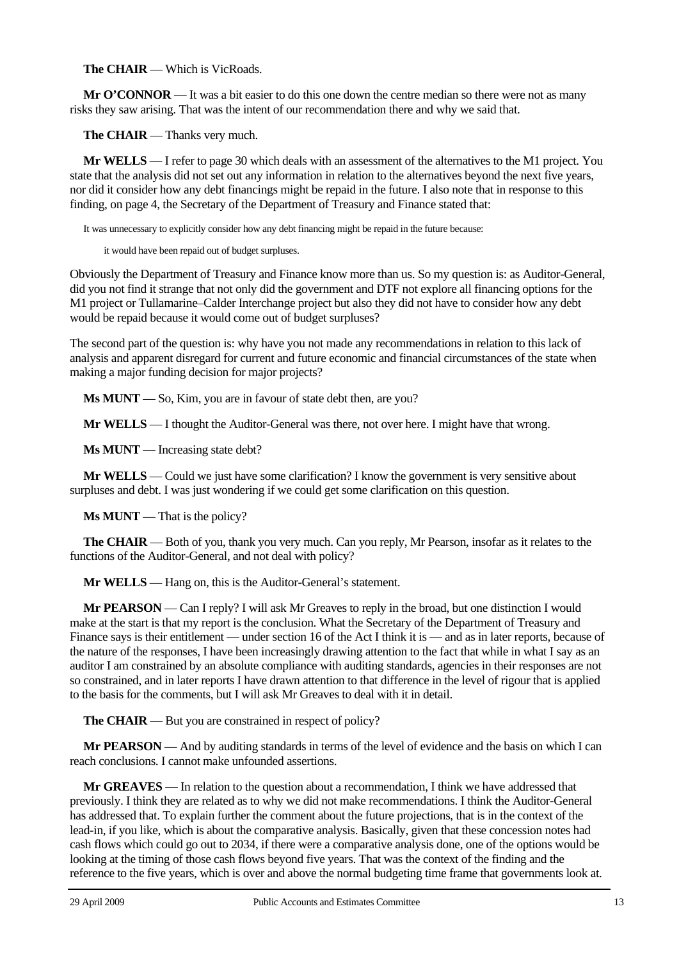**The CHAIR** — Which is VicRoads.

**Mr O'CONNOR** — It was a bit easier to do this one down the centre median so there were not as many risks they saw arising. That was the intent of our recommendation there and why we said that.

**The CHAIR** — Thanks very much.

**Mr WELLS** — I refer to page 30 which deals with an assessment of the alternatives to the M1 project. You state that the analysis did not set out any information in relation to the alternatives beyond the next five years, nor did it consider how any debt financings might be repaid in the future. I also note that in response to this finding, on page 4, the Secretary of the Department of Treasury and Finance stated that:

It was unnecessary to explicitly consider how any debt financing might be repaid in the future because:

it would have been repaid out of budget surpluses.

Obviously the Department of Treasury and Finance know more than us. So my question is: as Auditor-General, did you not find it strange that not only did the government and DTF not explore all financing options for the M1 project or Tullamarine–Calder Interchange project but also they did not have to consider how any debt would be repaid because it would come out of budget surpluses?

The second part of the question is: why have you not made any recommendations in relation to this lack of analysis and apparent disregard for current and future economic and financial circumstances of the state when making a major funding decision for major projects?

**Ms MUNT** — So, Kim, you are in favour of state debt then, are you?

**Mr WELLS** — I thought the Auditor-General was there, not over here. I might have that wrong.

**Ms MUNT** — Increasing state debt?

**Mr WELLS** — Could we just have some clarification? I know the government is very sensitive about surpluses and debt. I was just wondering if we could get some clarification on this question.

**Ms MUNT** — That is the policy?

**The CHAIR** — Both of you, thank you very much. Can you reply, Mr Pearson, insofar as it relates to the functions of the Auditor-General, and not deal with policy?

**Mr WELLS** — Hang on, this is the Auditor-General's statement.

**Mr PEARSON** — Can I reply? I will ask Mr Greaves to reply in the broad, but one distinction I would make at the start is that my report is the conclusion. What the Secretary of the Department of Treasury and Finance says is their entitlement — under section 16 of the Act I think it is — and as in later reports, because of the nature of the responses, I have been increasingly drawing attention to the fact that while in what I say as an auditor I am constrained by an absolute compliance with auditing standards, agencies in their responses are not so constrained, and in later reports I have drawn attention to that difference in the level of rigour that is applied to the basis for the comments, but I will ask Mr Greaves to deal with it in detail.

**The CHAIR** — But you are constrained in respect of policy?

**Mr PEARSON** — And by auditing standards in terms of the level of evidence and the basis on which I can reach conclusions. I cannot make unfounded assertions.

**Mr GREAVES** — In relation to the question about a recommendation, I think we have addressed that previously. I think they are related as to why we did not make recommendations. I think the Auditor-General has addressed that. To explain further the comment about the future projections, that is in the context of the lead-in, if you like, which is about the comparative analysis. Basically, given that these concession notes had cash flows which could go out to 2034, if there were a comparative analysis done, one of the options would be looking at the timing of those cash flows beyond five years. That was the context of the finding and the reference to the five years, which is over and above the normal budgeting time frame that governments look at.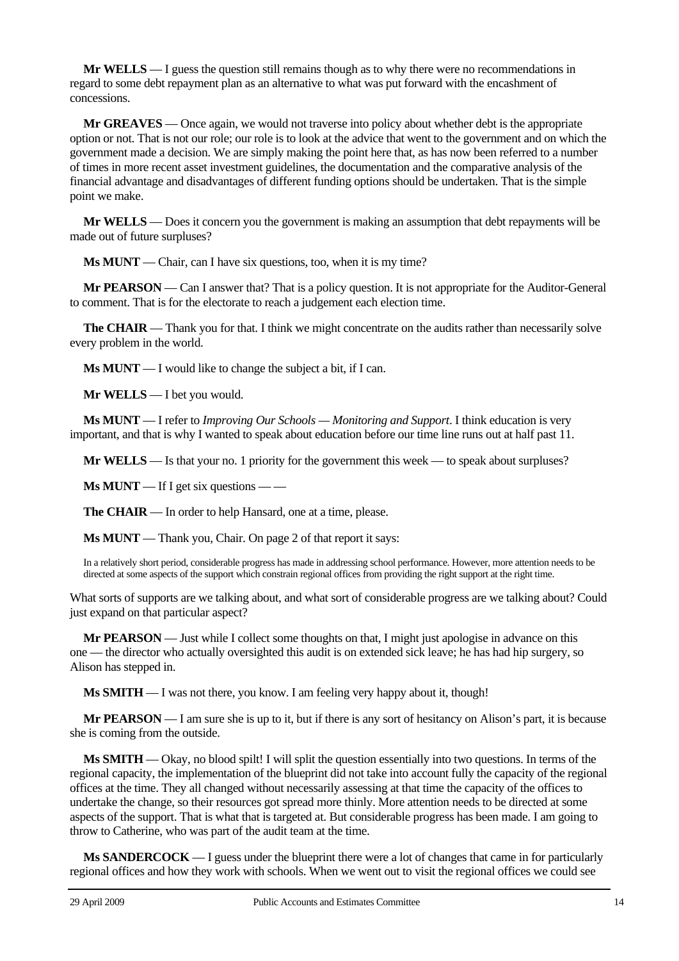**Mr WELLS** — I guess the question still remains though as to why there were no recommendations in regard to some debt repayment plan as an alternative to what was put forward with the encashment of concessions.

**Mr GREAVES** — Once again, we would not traverse into policy about whether debt is the appropriate option or not. That is not our role; our role is to look at the advice that went to the government and on which the government made a decision. We are simply making the point here that, as has now been referred to a number of times in more recent asset investment guidelines, the documentation and the comparative analysis of the financial advantage and disadvantages of different funding options should be undertaken. That is the simple point we make.

**Mr WELLS** — Does it concern you the government is making an assumption that debt repayments will be made out of future surpluses?

**Ms MUNT** — Chair, can I have six questions, too, when it is my time?

**Mr PEARSON** — Can I answer that? That is a policy question. It is not appropriate for the Auditor-General to comment. That is for the electorate to reach a judgement each election time.

**The CHAIR** — Thank you for that. I think we might concentrate on the audits rather than necessarily solve every problem in the world.

**Ms MUNT** — I would like to change the subject a bit, if I can.

**Mr WELLS** — I bet you would.

**Ms MUNT** — I refer to *Improving Our Schools — Monitoring and Support*. I think education is very important, and that is why I wanted to speak about education before our time line runs out at half past 11.

**Mr WELLS** — Is that your no. 1 priority for the government this week — to speak about surpluses?

**Ms MUNT** — If I get six questions — —

**The CHAIR** — In order to help Hansard, one at a time, please.

**Ms MUNT** — Thank you, Chair. On page 2 of that report it says:

In a relatively short period, considerable progress has made in addressing school performance. However, more attention needs to be directed at some aspects of the support which constrain regional offices from providing the right support at the right time.

What sorts of supports are we talking about, and what sort of considerable progress are we talking about? Could just expand on that particular aspect?

**Mr PEARSON** — Just while I collect some thoughts on that, I might just apologise in advance on this one — the director who actually oversighted this audit is on extended sick leave; he has had hip surgery, so Alison has stepped in.

**Ms SMITH** — I was not there, you know. I am feeling very happy about it, though!

**Mr PEARSON** — I am sure she is up to it, but if there is any sort of hesitancy on Alison's part, it is because she is coming from the outside.

**Ms SMITH** — Okay, no blood spilt! I will split the question essentially into two questions. In terms of the regional capacity, the implementation of the blueprint did not take into account fully the capacity of the regional offices at the time. They all changed without necessarily assessing at that time the capacity of the offices to undertake the change, so their resources got spread more thinly. More attention needs to be directed at some aspects of the support. That is what that is targeted at. But considerable progress has been made. I am going to throw to Catherine, who was part of the audit team at the time.

**Ms SANDERCOCK** — I guess under the blueprint there were a lot of changes that came in for particularly regional offices and how they work with schools. When we went out to visit the regional offices we could see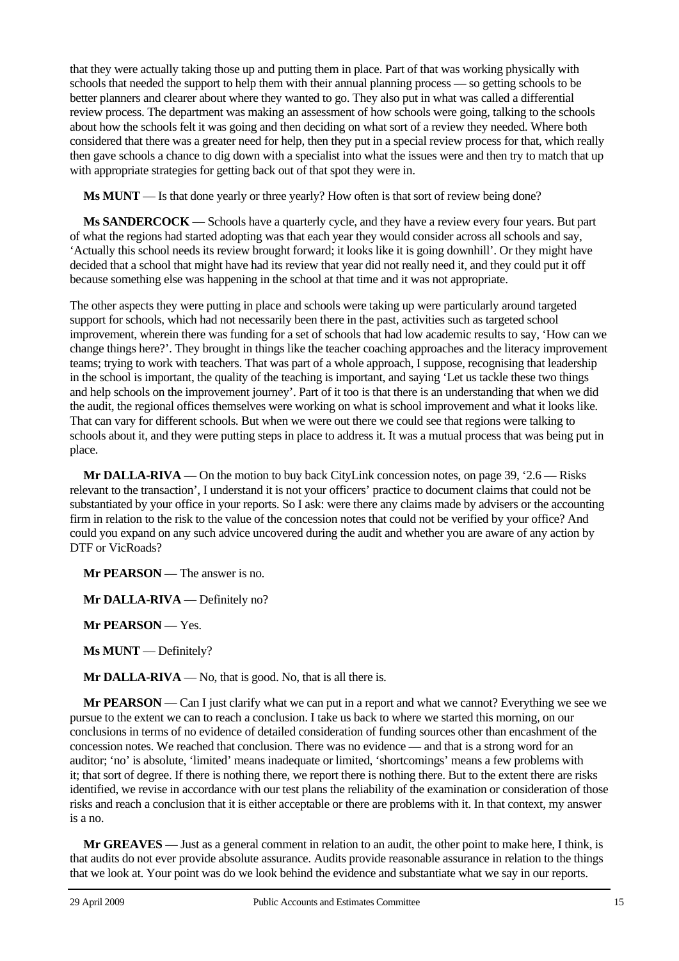that they were actually taking those up and putting them in place. Part of that was working physically with schools that needed the support to help them with their annual planning process — so getting schools to be better planners and clearer about where they wanted to go. They also put in what was called a differential review process. The department was making an assessment of how schools were going, talking to the schools about how the schools felt it was going and then deciding on what sort of a review they needed. Where both considered that there was a greater need for help, then they put in a special review process for that, which really then gave schools a chance to dig down with a specialist into what the issues were and then try to match that up with appropriate strategies for getting back out of that spot they were in.

**Ms MUNT** — Is that done yearly or three yearly? How often is that sort of review being done?

**Ms SANDERCOCK** — Schools have a quarterly cycle, and they have a review every four years. But part of what the regions had started adopting was that each year they would consider across all schools and say, 'Actually this school needs its review brought forward; it looks like it is going downhill'. Or they might have decided that a school that might have had its review that year did not really need it, and they could put it off because something else was happening in the school at that time and it was not appropriate.

The other aspects they were putting in place and schools were taking up were particularly around targeted support for schools, which had not necessarily been there in the past, activities such as targeted school improvement, wherein there was funding for a set of schools that had low academic results to say, 'How can we change things here?'. They brought in things like the teacher coaching approaches and the literacy improvement teams; trying to work with teachers. That was part of a whole approach, I suppose, recognising that leadership in the school is important, the quality of the teaching is important, and saying 'Let us tackle these two things and help schools on the improvement journey'. Part of it too is that there is an understanding that when we did the audit, the regional offices themselves were working on what is school improvement and what it looks like. That can vary for different schools. But when we were out there we could see that regions were talking to schools about it, and they were putting steps in place to address it. It was a mutual process that was being put in place.

**Mr DALLA-RIVA** — On the motion to buy back CityLink concession notes, on page 39, '2.6 — Risks relevant to the transaction', I understand it is not your officers' practice to document claims that could not be substantiated by your office in your reports. So I ask: were there any claims made by advisers or the accounting firm in relation to the risk to the value of the concession notes that could not be verified by your office? And could you expand on any such advice uncovered during the audit and whether you are aware of any action by DTF or VicRoads?

**Mr PEARSON** — The answer is no.

**Mr DALLA-RIVA** — Definitely no?

**Mr PEARSON** — Yes.

**Ms MUNT** — Definitely?

**Mr DALLA-RIVA** — No, that is good. No, that is all there is.

**Mr PEARSON** — Can I just clarify what we can put in a report and what we cannot? Everything we see we pursue to the extent we can to reach a conclusion. I take us back to where we started this morning, on our conclusions in terms of no evidence of detailed consideration of funding sources other than encashment of the concession notes. We reached that conclusion. There was no evidence — and that is a strong word for an auditor; 'no' is absolute, 'limited' means inadequate or limited, 'shortcomings' means a few problems with it; that sort of degree. If there is nothing there, we report there is nothing there. But to the extent there are risks identified, we revise in accordance with our test plans the reliability of the examination or consideration of those risks and reach a conclusion that it is either acceptable or there are problems with it. In that context, my answer is a no.

**Mr GREAVES** — Just as a general comment in relation to an audit, the other point to make here, I think, is that audits do not ever provide absolute assurance. Audits provide reasonable assurance in relation to the things that we look at. Your point was do we look behind the evidence and substantiate what we say in our reports.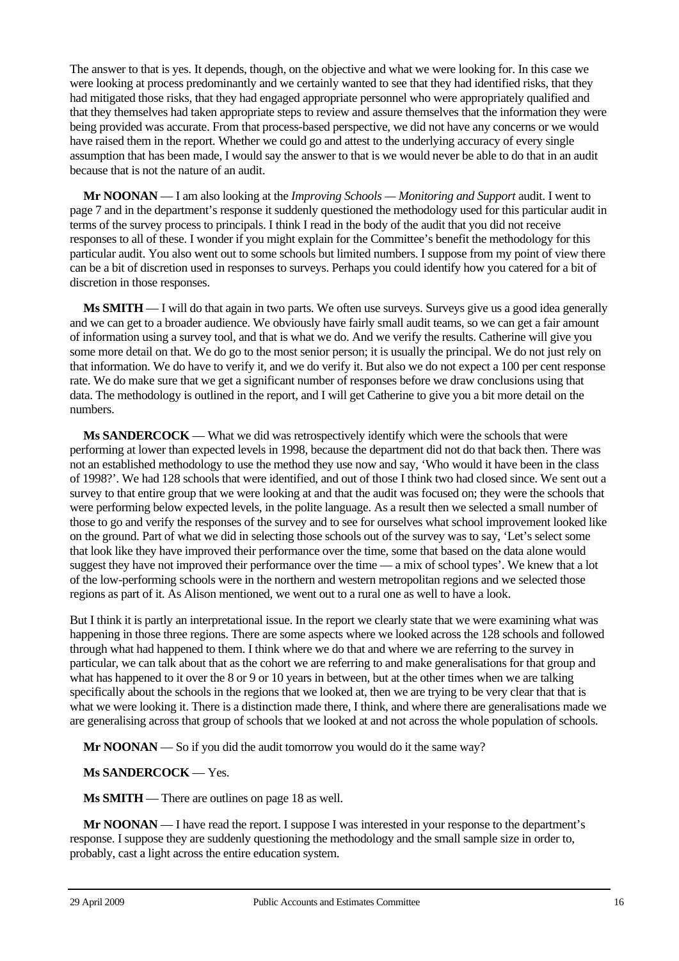The answer to that is yes. It depends, though, on the objective and what we were looking for. In this case we were looking at process predominantly and we certainly wanted to see that they had identified risks, that they had mitigated those risks, that they had engaged appropriate personnel who were appropriately qualified and that they themselves had taken appropriate steps to review and assure themselves that the information they were being provided was accurate. From that process-based perspective, we did not have any concerns or we would have raised them in the report. Whether we could go and attest to the underlying accuracy of every single assumption that has been made, I would say the answer to that is we would never be able to do that in an audit because that is not the nature of an audit.

**Mr NOONAN** — I am also looking at the *Improving Schools — Monitoring and Support* audit. I went to page 7 and in the department's response it suddenly questioned the methodology used for this particular audit in terms of the survey process to principals. I think I read in the body of the audit that you did not receive responses to all of these. I wonder if you might explain for the Committee's benefit the methodology for this particular audit. You also went out to some schools but limited numbers. I suppose from my point of view there can be a bit of discretion used in responses to surveys. Perhaps you could identify how you catered for a bit of discretion in those responses.

**Ms SMITH** — I will do that again in two parts. We often use surveys. Surveys give us a good idea generally and we can get to a broader audience. We obviously have fairly small audit teams, so we can get a fair amount of information using a survey tool, and that is what we do. And we verify the results. Catherine will give you some more detail on that. We do go to the most senior person; it is usually the principal. We do not just rely on that information. We do have to verify it, and we do verify it. But also we do not expect a 100 per cent response rate. We do make sure that we get a significant number of responses before we draw conclusions using that data. The methodology is outlined in the report, and I will get Catherine to give you a bit more detail on the numbers.

**Ms SANDERCOCK** — What we did was retrospectively identify which were the schools that were performing at lower than expected levels in 1998, because the department did not do that back then. There was not an established methodology to use the method they use now and say, 'Who would it have been in the class of 1998?'. We had 128 schools that were identified, and out of those I think two had closed since. We sent out a survey to that entire group that we were looking at and that the audit was focused on; they were the schools that were performing below expected levels, in the polite language. As a result then we selected a small number of those to go and verify the responses of the survey and to see for ourselves what school improvement looked like on the ground. Part of what we did in selecting those schools out of the survey was to say, 'Let's select some that look like they have improved their performance over the time, some that based on the data alone would suggest they have not improved their performance over the time — a mix of school types'. We knew that a lot of the low-performing schools were in the northern and western metropolitan regions and we selected those regions as part of it. As Alison mentioned, we went out to a rural one as well to have a look.

But I think it is partly an interpretational issue. In the report we clearly state that we were examining what was happening in those three regions. There are some aspects where we looked across the 128 schools and followed through what had happened to them. I think where we do that and where we are referring to the survey in particular, we can talk about that as the cohort we are referring to and make generalisations for that group and what has happened to it over the 8 or 9 or 10 years in between, but at the other times when we are talking specifically about the schools in the regions that we looked at, then we are trying to be very clear that that is what we were looking it. There is a distinction made there, I think, and where there are generalisations made we are generalising across that group of schools that we looked at and not across the whole population of schools.

**Mr NOONAN** — So if you did the audit tomorrow you would do it the same way?

# **Ms SANDERCOCK** — Yes.

**Ms SMITH** — There are outlines on page 18 as well.

**Mr NOONAN** — I have read the report. I suppose I was interested in your response to the department's response. I suppose they are suddenly questioning the methodology and the small sample size in order to, probably, cast a light across the entire education system.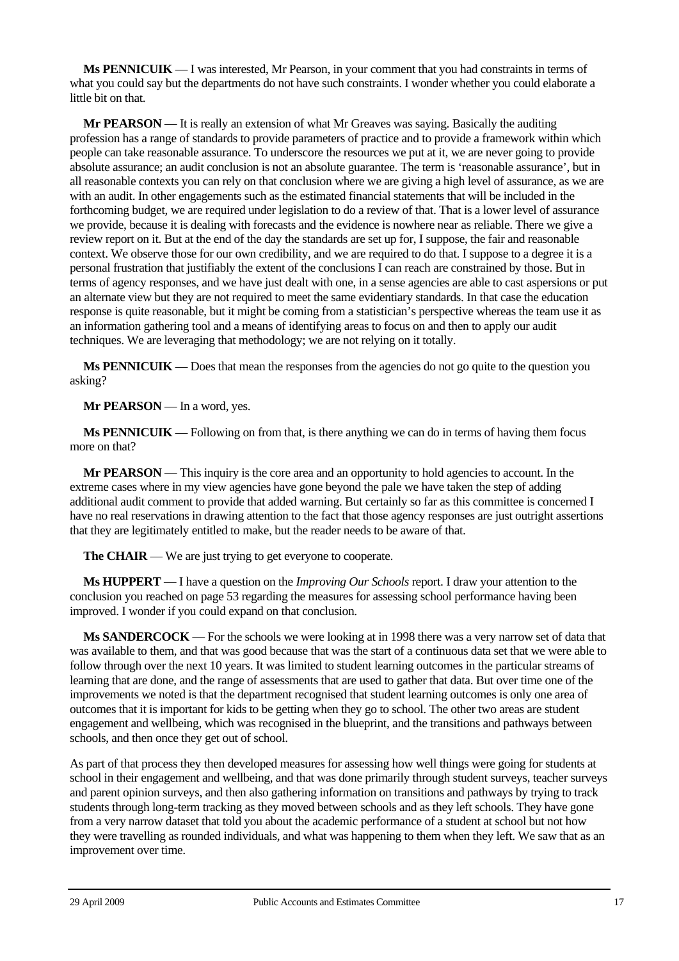**Ms PENNICUIK** — I was interested, Mr Pearson, in your comment that you had constraints in terms of what you could say but the departments do not have such constraints. I wonder whether you could elaborate a little bit on that.

**Mr PEARSON** — It is really an extension of what Mr Greaves was saying. Basically the auditing profession has a range of standards to provide parameters of practice and to provide a framework within which people can take reasonable assurance. To underscore the resources we put at it, we are never going to provide absolute assurance; an audit conclusion is not an absolute guarantee. The term is 'reasonable assurance', but in all reasonable contexts you can rely on that conclusion where we are giving a high level of assurance, as we are with an audit. In other engagements such as the estimated financial statements that will be included in the forthcoming budget, we are required under legislation to do a review of that. That is a lower level of assurance we provide, because it is dealing with forecasts and the evidence is nowhere near as reliable. There we give a review report on it. But at the end of the day the standards are set up for, I suppose, the fair and reasonable context. We observe those for our own credibility, and we are required to do that. I suppose to a degree it is a personal frustration that justifiably the extent of the conclusions I can reach are constrained by those. But in terms of agency responses, and we have just dealt with one, in a sense agencies are able to cast aspersions or put an alternate view but they are not required to meet the same evidentiary standards. In that case the education response is quite reasonable, but it might be coming from a statistician's perspective whereas the team use it as an information gathering tool and a means of identifying areas to focus on and then to apply our audit techniques. We are leveraging that methodology; we are not relying on it totally.

**Ms PENNICUIK** — Does that mean the responses from the agencies do not go quite to the question you asking?

**Mr PEARSON** — In a word, yes.

**Ms PENNICUIK** — Following on from that, is there anything we can do in terms of having them focus more on that?

**Mr PEARSON** — This inquiry is the core area and an opportunity to hold agencies to account. In the extreme cases where in my view agencies have gone beyond the pale we have taken the step of adding additional audit comment to provide that added warning. But certainly so far as this committee is concerned I have no real reservations in drawing attention to the fact that those agency responses are just outright assertions that they are legitimately entitled to make, but the reader needs to be aware of that.

**The CHAIR** — We are just trying to get everyone to cooperate.

**Ms HUPPERT** — I have a question on the *Improving Our Schools* report. I draw your attention to the conclusion you reached on page 53 regarding the measures for assessing school performance having been improved. I wonder if you could expand on that conclusion.

**Ms SANDERCOCK** — For the schools we were looking at in 1998 there was a very narrow set of data that was available to them, and that was good because that was the start of a continuous data set that we were able to follow through over the next 10 years. It was limited to student learning outcomes in the particular streams of learning that are done, and the range of assessments that are used to gather that data. But over time one of the improvements we noted is that the department recognised that student learning outcomes is only one area of outcomes that it is important for kids to be getting when they go to school. The other two areas are student engagement and wellbeing, which was recognised in the blueprint, and the transitions and pathways between schools, and then once they get out of school.

As part of that process they then developed measures for assessing how well things were going for students at school in their engagement and wellbeing, and that was done primarily through student surveys, teacher surveys and parent opinion surveys, and then also gathering information on transitions and pathways by trying to track students through long-term tracking as they moved between schools and as they left schools. They have gone from a very narrow dataset that told you about the academic performance of a student at school but not how they were travelling as rounded individuals, and what was happening to them when they left. We saw that as an improvement over time.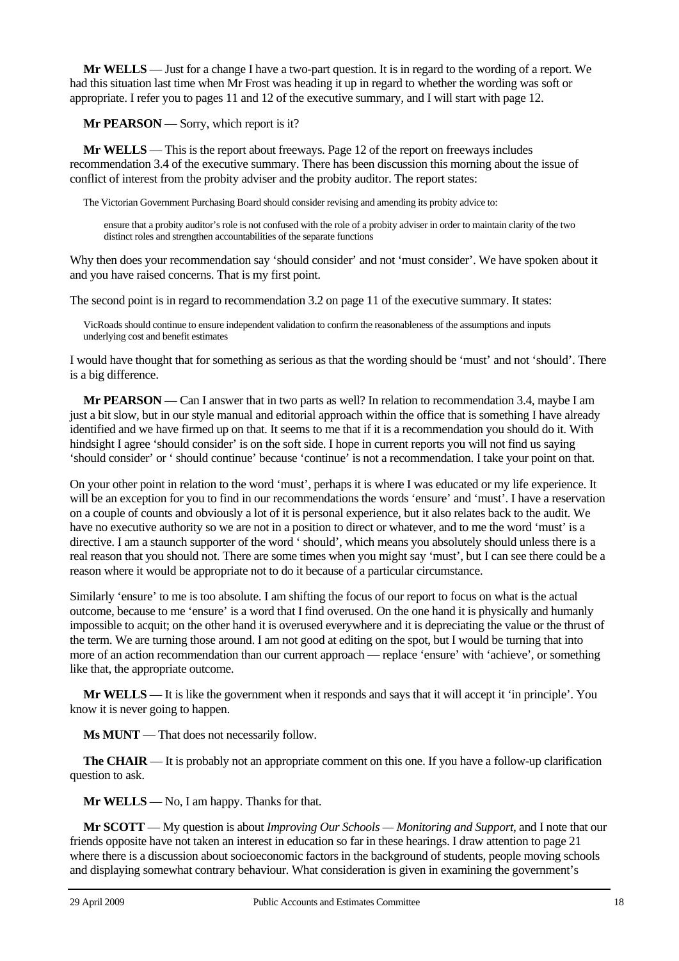**Mr WELLS** — Just for a change I have a two-part question. It is in regard to the wording of a report. We had this situation last time when Mr Frost was heading it up in regard to whether the wording was soft or appropriate. I refer you to pages 11 and 12 of the executive summary, and I will start with page 12.

**Mr PEARSON** — Sorry, which report is it?

**Mr WELLS** — This is the report about freeways. Page 12 of the report on freeways includes recommendation 3.4 of the executive summary. There has been discussion this morning about the issue of conflict of interest from the probity adviser and the probity auditor. The report states:

The Victorian Government Purchasing Board should consider revising and amending its probity advice to:

ensure that a probity auditor's role is not confused with the role of a probity adviser in order to maintain clarity of the two distinct roles and strengthen accountabilities of the separate functions

Why then does your recommendation say 'should consider' and not 'must consider'. We have spoken about it and you have raised concerns. That is my first point.

The second point is in regard to recommendation 3.2 on page 11 of the executive summary. It states:

VicRoads should continue to ensure independent validation to confirm the reasonableness of the assumptions and inputs underlying cost and benefit estimates

I would have thought that for something as serious as that the wording should be 'must' and not 'should'. There is a big difference.

**Mr PEARSON** — Can I answer that in two parts as well? In relation to recommendation 3.4, maybe I am just a bit slow, but in our style manual and editorial approach within the office that is something I have already identified and we have firmed up on that. It seems to me that if it is a recommendation you should do it. With hindsight I agree 'should consider' is on the soft side. I hope in current reports you will not find us saying 'should consider' or ' should continue' because 'continue' is not a recommendation. I take your point on that.

On your other point in relation to the word 'must', perhaps it is where I was educated or my life experience. It will be an exception for you to find in our recommendations the words 'ensure' and 'must'. I have a reservation on a couple of counts and obviously a lot of it is personal experience, but it also relates back to the audit. We have no executive authority so we are not in a position to direct or whatever, and to me the word 'must' is a directive. I am a staunch supporter of the word ' should', which means you absolutely should unless there is a real reason that you should not. There are some times when you might say 'must', but I can see there could be a reason where it would be appropriate not to do it because of a particular circumstance.

Similarly 'ensure' to me is too absolute. I am shifting the focus of our report to focus on what is the actual outcome, because to me 'ensure' is a word that I find overused. On the one hand it is physically and humanly impossible to acquit; on the other hand it is overused everywhere and it is depreciating the value or the thrust of the term. We are turning those around. I am not good at editing on the spot, but I would be turning that into more of an action recommendation than our current approach — replace 'ensure' with 'achieve', or something like that, the appropriate outcome.

**Mr WELLS** — It is like the government when it responds and says that it will accept it 'in principle'. You know it is never going to happen.

**Ms MUNT** — That does not necessarily follow.

**The CHAIR** — It is probably not an appropriate comment on this one. If you have a follow-up clarification question to ask.

**Mr WELLS** — No, I am happy. Thanks for that.

**Mr SCOTT** — My question is about *Improving Our Schools — Monitoring and Support*, and I note that our friends opposite have not taken an interest in education so far in these hearings. I draw attention to page 21 where there is a discussion about socioeconomic factors in the background of students, people moving schools and displaying somewhat contrary behaviour. What consideration is given in examining the government's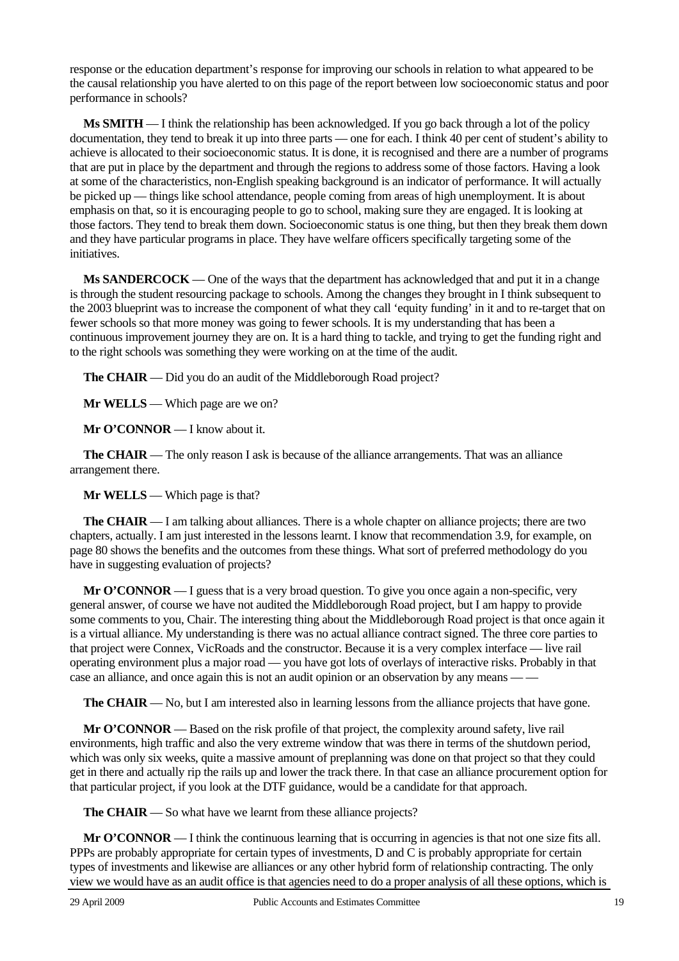response or the education department's response for improving our schools in relation to what appeared to be the causal relationship you have alerted to on this page of the report between low socioeconomic status and poor performance in schools?

**Ms SMITH** — I think the relationship has been acknowledged. If you go back through a lot of the policy documentation, they tend to break it up into three parts — one for each. I think 40 per cent of student's ability to achieve is allocated to their socioeconomic status. It is done, it is recognised and there are a number of programs that are put in place by the department and through the regions to address some of those factors. Having a look at some of the characteristics, non-English speaking background is an indicator of performance. It will actually be picked up — things like school attendance, people coming from areas of high unemployment. It is about emphasis on that, so it is encouraging people to go to school, making sure they are engaged. It is looking at those factors. They tend to break them down. Socioeconomic status is one thing, but then they break them down and they have particular programs in place. They have welfare officers specifically targeting some of the initiatives.

**Ms SANDERCOCK** — One of the ways that the department has acknowledged that and put it in a change is through the student resourcing package to schools. Among the changes they brought in I think subsequent to the 2003 blueprint was to increase the component of what they call 'equity funding' in it and to re-target that on fewer schools so that more money was going to fewer schools. It is my understanding that has been a continuous improvement journey they are on. It is a hard thing to tackle, and trying to get the funding right and to the right schools was something they were working on at the time of the audit.

**The CHAIR** — Did you do an audit of the Middleborough Road project?

**Mr WELLS** — Which page are we on?

**Mr O'CONNOR** — I know about it.

**The CHAIR** — The only reason I ask is because of the alliance arrangements. That was an alliance arrangement there.

**Mr WELLS** — Which page is that?

**The CHAIR** — I am talking about alliances. There is a whole chapter on alliance projects; there are two chapters, actually. I am just interested in the lessons learnt. I know that recommendation 3.9, for example, on page 80 shows the benefits and the outcomes from these things. What sort of preferred methodology do you have in suggesting evaluation of projects?

**Mr O'CONNOR** — I guess that is a very broad question. To give you once again a non-specific, very general answer, of course we have not audited the Middleborough Road project, but I am happy to provide some comments to you, Chair. The interesting thing about the Middleborough Road project is that once again it is a virtual alliance. My understanding is there was no actual alliance contract signed. The three core parties to that project were Connex, VicRoads and the constructor. Because it is a very complex interface — live rail operating environment plus a major road — you have got lots of overlays of interactive risks. Probably in that case an alliance, and once again this is not an audit opinion or an observation by any means -

**The CHAIR** — No, but I am interested also in learning lessons from the alliance projects that have gone.

**Mr O'CONNOR** — Based on the risk profile of that project, the complexity around safety, live rail environments, high traffic and also the very extreme window that was there in terms of the shutdown period, which was only six weeks, quite a massive amount of preplanning was done on that project so that they could get in there and actually rip the rails up and lower the track there. In that case an alliance procurement option for that particular project, if you look at the DTF guidance, would be a candidate for that approach.

**The CHAIR** — So what have we learnt from these alliance projects?

**Mr O'CONNOR** — I think the continuous learning that is occurring in agencies is that not one size fits all. PPPs are probably appropriate for certain types of investments, D and C is probably appropriate for certain types of investments and likewise are alliances or any other hybrid form of relationship contracting. The only view we would have as an audit office is that agencies need to do a proper analysis of all these options, which is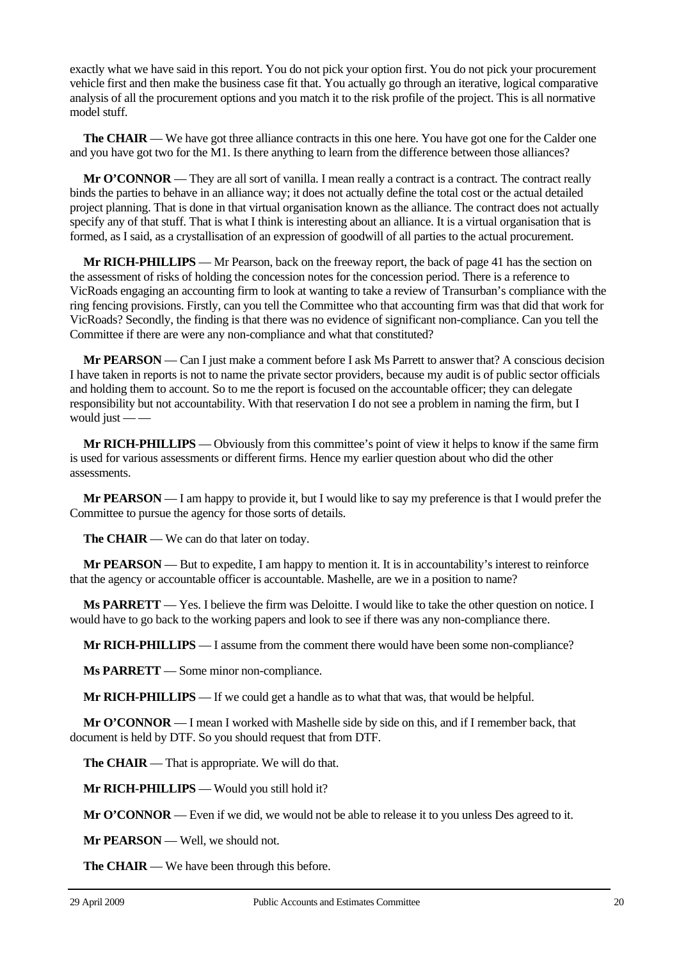exactly what we have said in this report. You do not pick your option first. You do not pick your procurement vehicle first and then make the business case fit that. You actually go through an iterative, logical comparative analysis of all the procurement options and you match it to the risk profile of the project. This is all normative model stuff.

**The CHAIR** — We have got three alliance contracts in this one here. You have got one for the Calder one and you have got two for the M1. Is there anything to learn from the difference between those alliances?

**Mr O'CONNOR** — They are all sort of vanilla. I mean really a contract is a contract. The contract really binds the parties to behave in an alliance way; it does not actually define the total cost or the actual detailed project planning. That is done in that virtual organisation known as the alliance. The contract does not actually specify any of that stuff. That is what I think is interesting about an alliance. It is a virtual organisation that is formed, as I said, as a crystallisation of an expression of goodwill of all parties to the actual procurement.

**Mr RICH-PHILLIPS** — Mr Pearson, back on the freeway report, the back of page 41 has the section on the assessment of risks of holding the concession notes for the concession period. There is a reference to VicRoads engaging an accounting firm to look at wanting to take a review of Transurban's compliance with the ring fencing provisions. Firstly, can you tell the Committee who that accounting firm was that did that work for VicRoads? Secondly, the finding is that there was no evidence of significant non-compliance. Can you tell the Committee if there are were any non-compliance and what that constituted?

**Mr PEARSON** — Can I just make a comment before I ask Ms Parrett to answer that? A conscious decision I have taken in reports is not to name the private sector providers, because my audit is of public sector officials and holding them to account. So to me the report is focused on the accountable officer; they can delegate responsibility but not accountability. With that reservation I do not see a problem in naming the firm, but I would just — —

**Mr RICH-PHILLIPS** — Obviously from this committee's point of view it helps to know if the same firm is used for various assessments or different firms. Hence my earlier question about who did the other assessments.

**Mr PEARSON** — I am happy to provide it, but I would like to say my preference is that I would prefer the Committee to pursue the agency for those sorts of details.

**The CHAIR** — We can do that later on today.

**Mr PEARSON** — But to expedite, I am happy to mention it. It is in accountability's interest to reinforce that the agency or accountable officer is accountable. Mashelle, are we in a position to name?

**Ms PARRETT** — Yes. I believe the firm was Deloitte. I would like to take the other question on notice. I would have to go back to the working papers and look to see if there was any non-compliance there.

**Mr RICH-PHILLIPS** — I assume from the comment there would have been some non-compliance?

**Ms PARRETT** — Some minor non-compliance.

**Mr RICH-PHILLIPS** — If we could get a handle as to what that was, that would be helpful.

**Mr O'CONNOR** — I mean I worked with Mashelle side by side on this, and if I remember back, that document is held by DTF. So you should request that from DTF.

**The CHAIR** — That is appropriate. We will do that.

**Mr RICH-PHILLIPS** — Would you still hold it?

**Mr O'CONNOR** — Even if we did, we would not be able to release it to you unless Des agreed to it.

**Mr PEARSON** — Well, we should not.

**The CHAIR** — We have been through this before.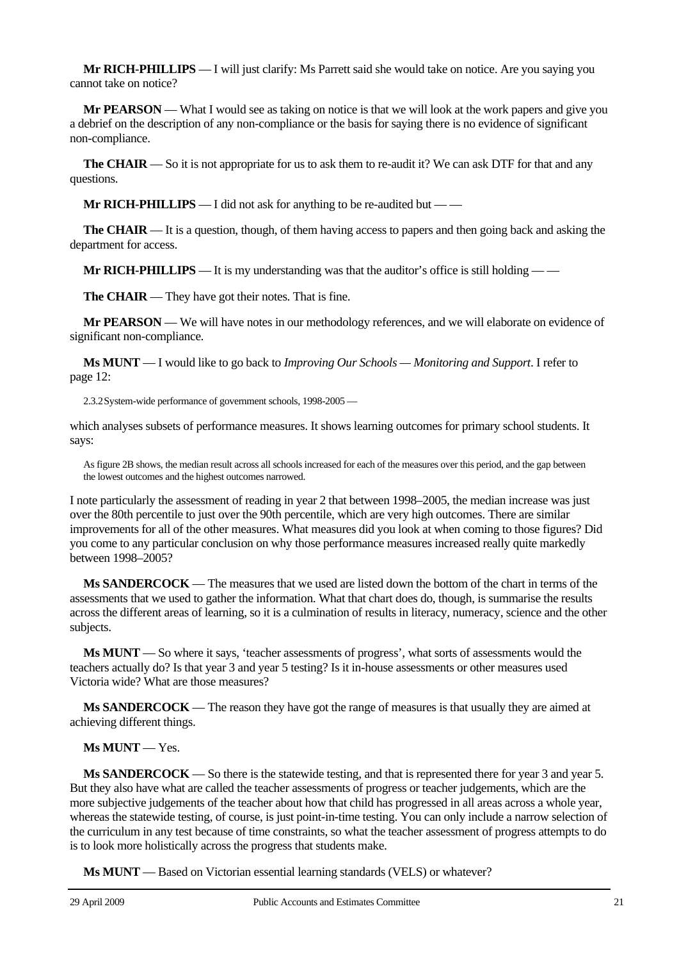**Mr RICH-PHILLIPS** — I will just clarify: Ms Parrett said she would take on notice. Are you saying you cannot take on notice?

**Mr PEARSON** — What I would see as taking on notice is that we will look at the work papers and give you a debrief on the description of any non-compliance or the basis for saying there is no evidence of significant non-compliance.

**The CHAIR** — So it is not appropriate for us to ask them to re-audit it? We can ask DTF for that and any questions.

**Mr RICH-PHILLIPS** — I did not ask for anything to be re-audited but — —

**The CHAIR** — It is a question, though, of them having access to papers and then going back and asking the department for access.

**Mr RICH-PHILLIPS** — It is my understanding was that the auditor's office is still holding — —

**The CHAIR** — They have got their notes. That is fine.

**Mr PEARSON** — We will have notes in our methodology references, and we will elaborate on evidence of significant non-compliance.

**Ms MUNT** — I would like to go back to *Improving Our Schools — Monitoring and Support*. I refer to page 12:

2.3.2 System-wide performance of government schools, 1998-2005 —

which analyses subsets of performance measures. It shows learning outcomes for primary school students. It says:

As figure 2B shows, the median result across all schools increased for each of the measures over this period, and the gap between the lowest outcomes and the highest outcomes narrowed.

I note particularly the assessment of reading in year 2 that between 1998–2005, the median increase was just over the 80th percentile to just over the 90th percentile, which are very high outcomes. There are similar improvements for all of the other measures. What measures did you look at when coming to those figures? Did you come to any particular conclusion on why those performance measures increased really quite markedly between 1998–2005?

**Ms SANDERCOCK** — The measures that we used are listed down the bottom of the chart in terms of the assessments that we used to gather the information. What that chart does do, though, is summarise the results across the different areas of learning, so it is a culmination of results in literacy, numeracy, science and the other subjects.

**Ms MUNT** — So where it says, 'teacher assessments of progress', what sorts of assessments would the teachers actually do? Is that year 3 and year 5 testing? Is it in-house assessments or other measures used Victoria wide? What are those measures?

**Ms SANDERCOCK** — The reason they have got the range of measures is that usually they are aimed at achieving different things.

## **Ms MUNT** — Yes.

**Ms SANDERCOCK** — So there is the statewide testing, and that is represented there for year 3 and year 5. But they also have what are called the teacher assessments of progress or teacher judgements, which are the more subjective judgements of the teacher about how that child has progressed in all areas across a whole year, whereas the statewide testing, of course, is just point-in-time testing. You can only include a narrow selection of the curriculum in any test because of time constraints, so what the teacher assessment of progress attempts to do is to look more holistically across the progress that students make.

**Ms MUNT** — Based on Victorian essential learning standards (VELS) or whatever?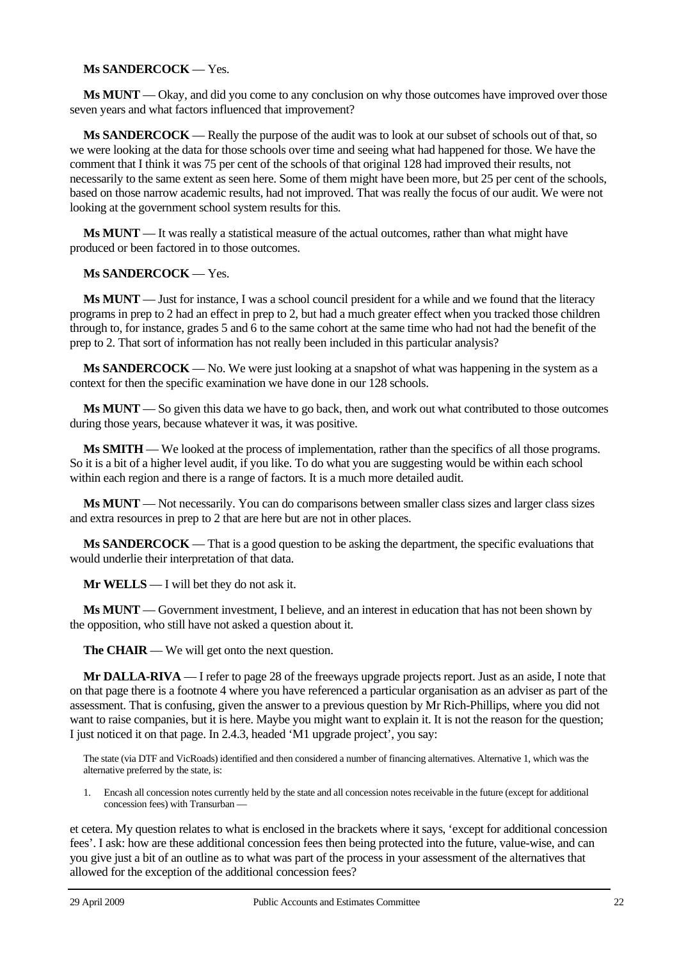# **Ms SANDERCOCK** — Yes.

**Ms MUNT** — Okay, and did you come to any conclusion on why those outcomes have improved over those seven years and what factors influenced that improvement?

**Ms SANDERCOCK** — Really the purpose of the audit was to look at our subset of schools out of that, so we were looking at the data for those schools over time and seeing what had happened for those. We have the comment that I think it was 75 per cent of the schools of that original 128 had improved their results, not necessarily to the same extent as seen here. Some of them might have been more, but 25 per cent of the schools, based on those narrow academic results, had not improved. That was really the focus of our audit. We were not looking at the government school system results for this.

**Ms MUNT** — It was really a statistical measure of the actual outcomes, rather than what might have produced or been factored in to those outcomes.

### **Ms SANDERCOCK** — Yes.

**Ms MUNT** — Just for instance, I was a school council president for a while and we found that the literacy programs in prep to 2 had an effect in prep to 2, but had a much greater effect when you tracked those children through to, for instance, grades 5 and 6 to the same cohort at the same time who had not had the benefit of the prep to 2. That sort of information has not really been included in this particular analysis?

**Ms SANDERCOCK** — No. We were just looking at a snapshot of what was happening in the system as a context for then the specific examination we have done in our 128 schools.

**Ms MUNT** — So given this data we have to go back, then, and work out what contributed to those outcomes during those years, because whatever it was, it was positive.

**Ms SMITH** — We looked at the process of implementation, rather than the specifics of all those programs. So it is a bit of a higher level audit, if you like. To do what you are suggesting would be within each school within each region and there is a range of factors. It is a much more detailed audit.

**Ms MUNT** — Not necessarily. You can do comparisons between smaller class sizes and larger class sizes and extra resources in prep to 2 that are here but are not in other places.

**Ms SANDERCOCK** — That is a good question to be asking the department, the specific evaluations that would underlie their interpretation of that data.

**Mr WELLS** — I will bet they do not ask it.

**Ms MUNT** — Government investment, I believe, and an interest in education that has not been shown by the opposition, who still have not asked a question about it.

**The CHAIR** — We will get onto the next question.

**Mr DALLA-RIVA** — I refer to page 28 of the freeways upgrade projects report. Just as an aside, I note that on that page there is a footnote 4 where you have referenced a particular organisation as an adviser as part of the assessment. That is confusing, given the answer to a previous question by Mr Rich-Phillips, where you did not want to raise companies, but it is here. Maybe you might want to explain it. It is not the reason for the question; I just noticed it on that page. In 2.4.3, headed 'M1 upgrade project', you say:

The state (via DTF and VicRoads) identified and then considered a number of financing alternatives. Alternative 1, which was the alternative preferred by the state, is:

1. Encash all concession notes currently held by the state and all concession notes receivable in the future (except for additional concession fees) with Transurban —

et cetera. My question relates to what is enclosed in the brackets where it says, 'except for additional concession fees'. I ask: how are these additional concession fees then being protected into the future, value-wise, and can you give just a bit of an outline as to what was part of the process in your assessment of the alternatives that allowed for the exception of the additional concession fees?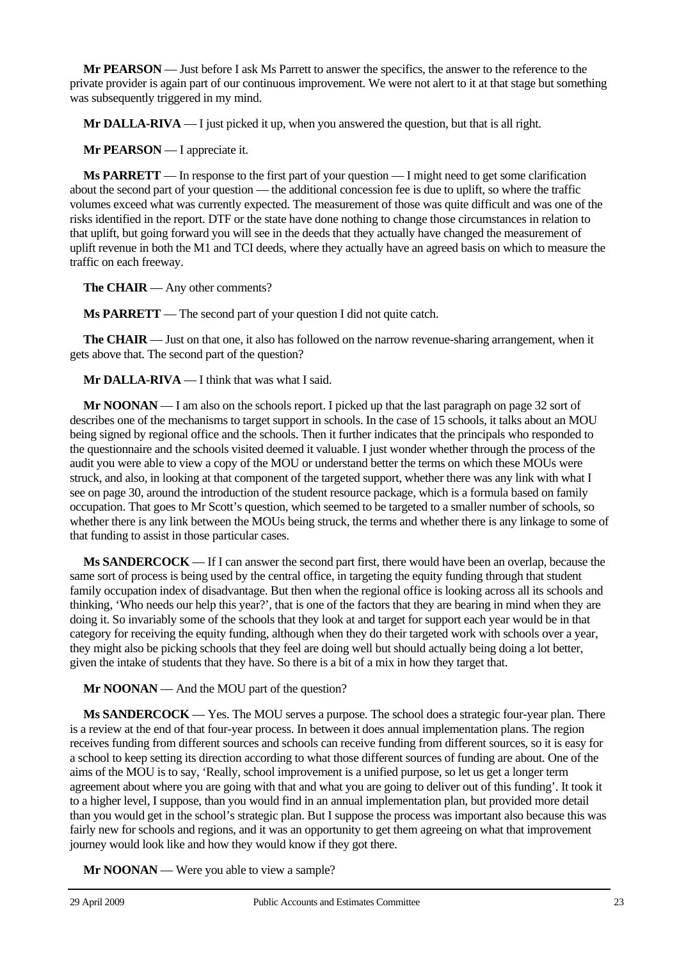**Mr PEARSON** — Just before I ask Ms Parrett to answer the specifics, the answer to the reference to the private provider is again part of our continuous improvement. We were not alert to it at that stage but something was subsequently triggered in my mind.

**Mr DALLA-RIVA** — I just picked it up, when you answered the question, but that is all right.

**Mr PEARSON** — I appreciate it.

**Ms PARRETT** — In response to the first part of your question — I might need to get some clarification about the second part of your question — the additional concession fee is due to uplift, so where the traffic volumes exceed what was currently expected. The measurement of those was quite difficult and was one of the risks identified in the report. DTF or the state have done nothing to change those circumstances in relation to that uplift, but going forward you will see in the deeds that they actually have changed the measurement of uplift revenue in both the M1 and TCI deeds, where they actually have an agreed basis on which to measure the traffic on each freeway.

**The CHAIR** — Any other comments?

**Ms PARRETT** — The second part of your question I did not quite catch.

**The CHAIR** — Just on that one, it also has followed on the narrow revenue-sharing arrangement, when it gets above that. The second part of the question?

**Mr DALLA-RIVA** — I think that was what I said.

**Mr NOONAN** — I am also on the schools report. I picked up that the last paragraph on page 32 sort of describes one of the mechanisms to target support in schools. In the case of 15 schools, it talks about an MOU being signed by regional office and the schools. Then it further indicates that the principals who responded to the questionnaire and the schools visited deemed it valuable. I just wonder whether through the process of the audit you were able to view a copy of the MOU or understand better the terms on which these MOUs were struck, and also, in looking at that component of the targeted support, whether there was any link with what I see on page 30, around the introduction of the student resource package, which is a formula based on family occupation. That goes to Mr Scott's question, which seemed to be targeted to a smaller number of schools, so whether there is any link between the MOUs being struck, the terms and whether there is any linkage to some of that funding to assist in those particular cases.

**Ms SANDERCOCK** — If I can answer the second part first, there would have been an overlap, because the same sort of process is being used by the central office, in targeting the equity funding through that student family occupation index of disadvantage. But then when the regional office is looking across all its schools and thinking, 'Who needs our help this year?', that is one of the factors that they are bearing in mind when they are doing it. So invariably some of the schools that they look at and target for support each year would be in that category for receiving the equity funding, although when they do their targeted work with schools over a year, they might also be picking schools that they feel are doing well but should actually being doing a lot better, given the intake of students that they have. So there is a bit of a mix in how they target that.

**Mr NOONAN** — And the MOU part of the question?

**Ms SANDERCOCK** — Yes. The MOU serves a purpose. The school does a strategic four-year plan. There is a review at the end of that four-year process. In between it does annual implementation plans. The region receives funding from different sources and schools can receive funding from different sources, so it is easy for a school to keep setting its direction according to what those different sources of funding are about. One of the aims of the MOU is to say, 'Really, school improvement is a unified purpose, so let us get a longer term agreement about where you are going with that and what you are going to deliver out of this funding'. It took it to a higher level, I suppose, than you would find in an annual implementation plan, but provided more detail than you would get in the school's strategic plan. But I suppose the process was important also because this was fairly new for schools and regions, and it was an opportunity to get them agreeing on what that improvement journey would look like and how they would know if they got there.

**Mr NOONAN** — Were you able to view a sample?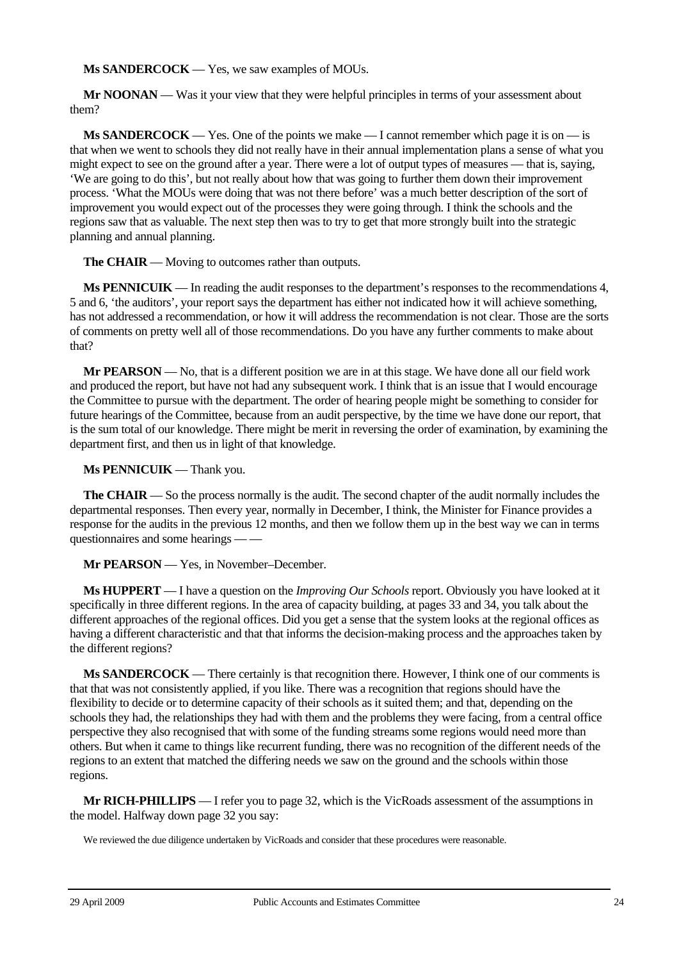**Ms SANDERCOCK** — Yes, we saw examples of MOUs.

**Mr NOONAN** — Was it your view that they were helpful principles in terms of your assessment about them?

**Ms SANDERCOCK** — Yes. One of the points we make — I cannot remember which page it is on — is that when we went to schools they did not really have in their annual implementation plans a sense of what you might expect to see on the ground after a year. There were a lot of output types of measures — that is, saying, 'We are going to do this', but not really about how that was going to further them down their improvement process. 'What the MOUs were doing that was not there before' was a much better description of the sort of improvement you would expect out of the processes they were going through. I think the schools and the regions saw that as valuable. The next step then was to try to get that more strongly built into the strategic planning and annual planning.

**The CHAIR** — Moving to outcomes rather than outputs.

**Ms PENNICUIK** — In reading the audit responses to the department's responses to the recommendations 4, 5 and 6, 'the auditors', your report says the department has either not indicated how it will achieve something, has not addressed a recommendation, or how it will address the recommendation is not clear. Those are the sorts of comments on pretty well all of those recommendations. Do you have any further comments to make about that?

**Mr PEARSON** — No, that is a different position we are in at this stage. We have done all our field work and produced the report, but have not had any subsequent work. I think that is an issue that I would encourage the Committee to pursue with the department. The order of hearing people might be something to consider for future hearings of the Committee, because from an audit perspective, by the time we have done our report, that is the sum total of our knowledge. There might be merit in reversing the order of examination, by examining the department first, and then us in light of that knowledge.

**Ms PENNICUIK** — Thank you.

**The CHAIR** — So the process normally is the audit. The second chapter of the audit normally includes the departmental responses. Then every year, normally in December, I think, the Minister for Finance provides a response for the audits in the previous 12 months, and then we follow them up in the best way we can in terms questionnaires and some hearings — —

# **Mr PEARSON** — Yes, in November–December.

**Ms HUPPERT** — I have a question on the *Improving Our Schools* report. Obviously you have looked at it specifically in three different regions. In the area of capacity building, at pages 33 and 34, you talk about the different approaches of the regional offices. Did you get a sense that the system looks at the regional offices as having a different characteristic and that that informs the decision-making process and the approaches taken by the different regions?

**Ms SANDERCOCK** — There certainly is that recognition there. However, I think one of our comments is that that was not consistently applied, if you like. There was a recognition that regions should have the flexibility to decide or to determine capacity of their schools as it suited them; and that, depending on the schools they had, the relationships they had with them and the problems they were facing, from a central office perspective they also recognised that with some of the funding streams some regions would need more than others. But when it came to things like recurrent funding, there was no recognition of the different needs of the regions to an extent that matched the differing needs we saw on the ground and the schools within those regions.

**Mr RICH-PHILLIPS** — I refer you to page 32, which is the VicRoads assessment of the assumptions in the model. Halfway down page 32 you say:

We reviewed the due diligence undertaken by VicRoads and consider that these procedures were reasonable.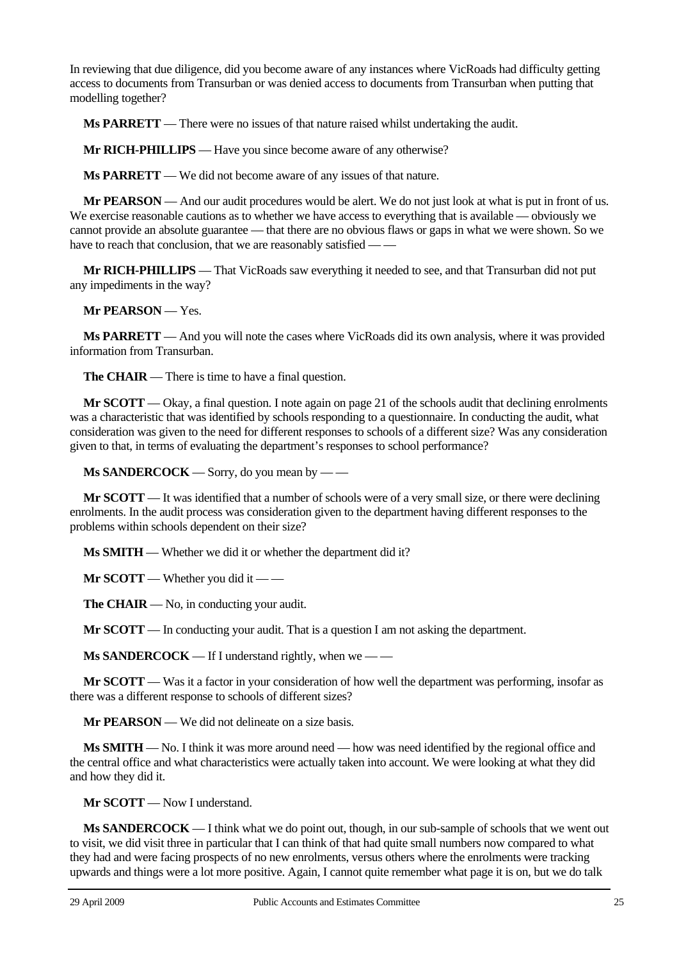In reviewing that due diligence, did you become aware of any instances where VicRoads had difficulty getting access to documents from Transurban or was denied access to documents from Transurban when putting that modelling together?

**Ms PARRETT** — There were no issues of that nature raised whilst undertaking the audit.

**Mr RICH-PHILLIPS** — Have you since become aware of any otherwise?

**Ms PARRETT** — We did not become aware of any issues of that nature.

**Mr PEARSON** — And our audit procedures would be alert. We do not just look at what is put in front of us. We exercise reasonable cautions as to whether we have access to everything that is available — obviously we cannot provide an absolute guarantee — that there are no obvious flaws or gaps in what we were shown. So we have to reach that conclusion, that we are reasonably satisfied — —

**Mr RICH-PHILLIPS** — That VicRoads saw everything it needed to see, and that Transurban did not put any impediments in the way?

**Mr PEARSON** — Yes.

**Ms PARRETT** — And you will note the cases where VicRoads did its own analysis, where it was provided information from Transurban.

**The CHAIR** — There is time to have a final question.

**Mr SCOTT** — Okay, a final question. I note again on page 21 of the schools audit that declining enrolments was a characteristic that was identified by schools responding to a questionnaire. In conducting the audit, what consideration was given to the need for different responses to schools of a different size? Was any consideration given to that, in terms of evaluating the department's responses to school performance?

**Ms SANDERCOCK** — Sorry, do you mean by — —

**Mr SCOTT** — It was identified that a number of schools were of a very small size, or there were declining enrolments. In the audit process was consideration given to the department having different responses to the problems within schools dependent on their size?

**Ms SMITH** — Whether we did it or whether the department did it?

**Mr SCOTT** — Whether you did it — —

**The CHAIR** — No, in conducting your audit.

**Mr SCOTT** — In conducting your audit. That is a question I am not asking the department.

**Ms SANDERCOCK** — If I understand rightly, when we — —

**Mr SCOTT** — Was it a factor in your consideration of how well the department was performing, insofar as there was a different response to schools of different sizes?

**Mr PEARSON** — We did not delineate on a size basis.

**Ms SMITH** — No. I think it was more around need — how was need identified by the regional office and the central office and what characteristics were actually taken into account. We were looking at what they did and how they did it.

**Mr SCOTT** — Now I understand.

**Ms SANDERCOCK** — I think what we do point out, though, in our sub-sample of schools that we went out to visit, we did visit three in particular that I can think of that had quite small numbers now compared to what they had and were facing prospects of no new enrolments, versus others where the enrolments were tracking upwards and things were a lot more positive. Again, I cannot quite remember what page it is on, but we do talk